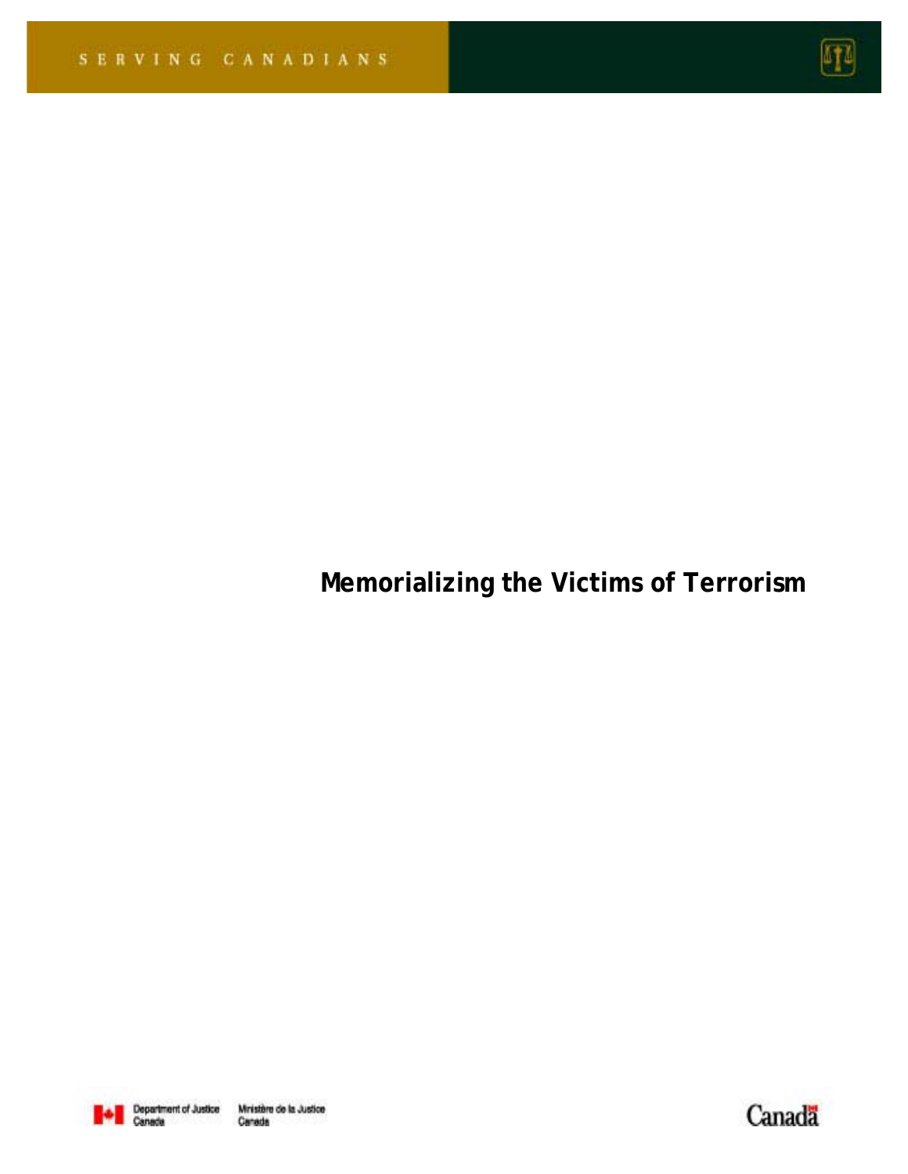

# **Memorializing the Victims of Terrorism**



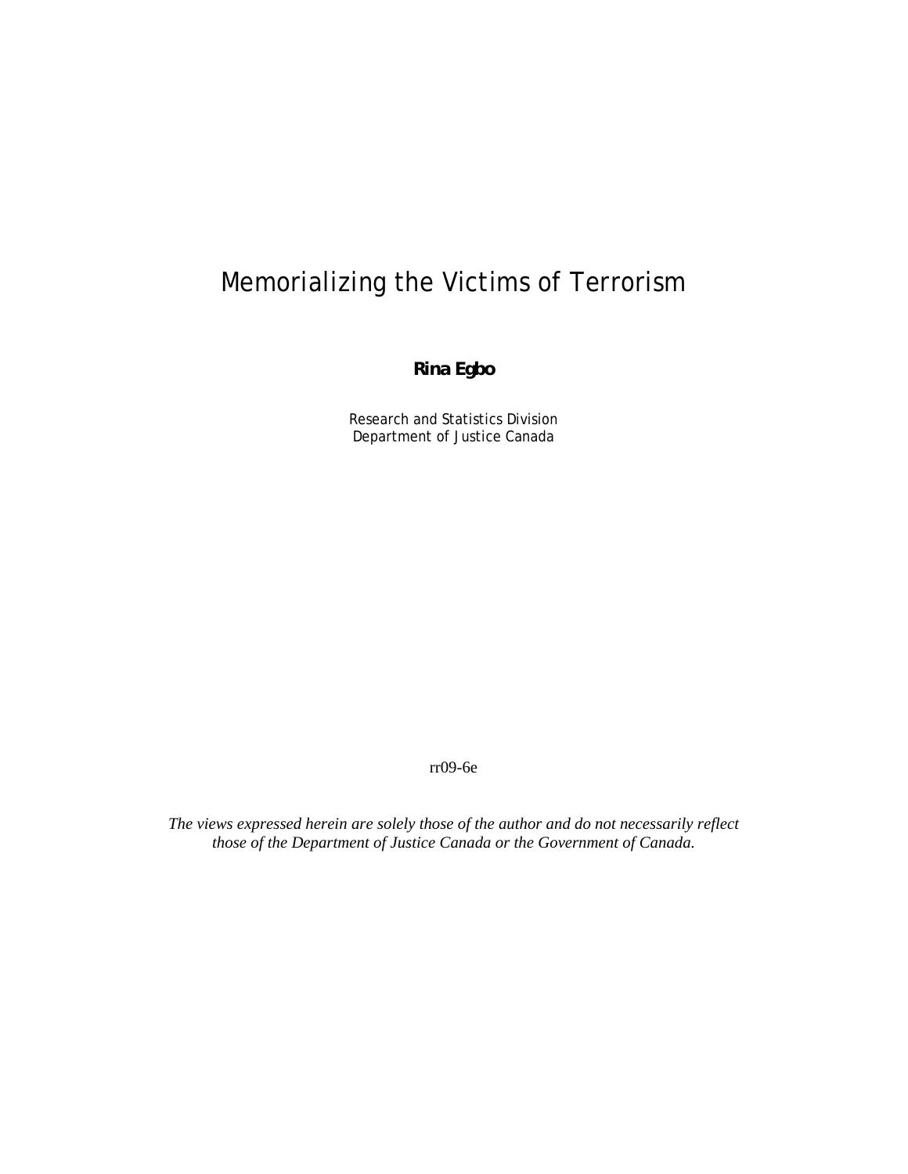## Memorializing the Victims of Terrorism

#### **Rina Egbo**

Research and Statistics Division Department of Justice Canada

rr09-6e

*The views expressed herein are solely those of the author and do not necessarily reflect those of the Department of Justice Canada or the Government of Canada.*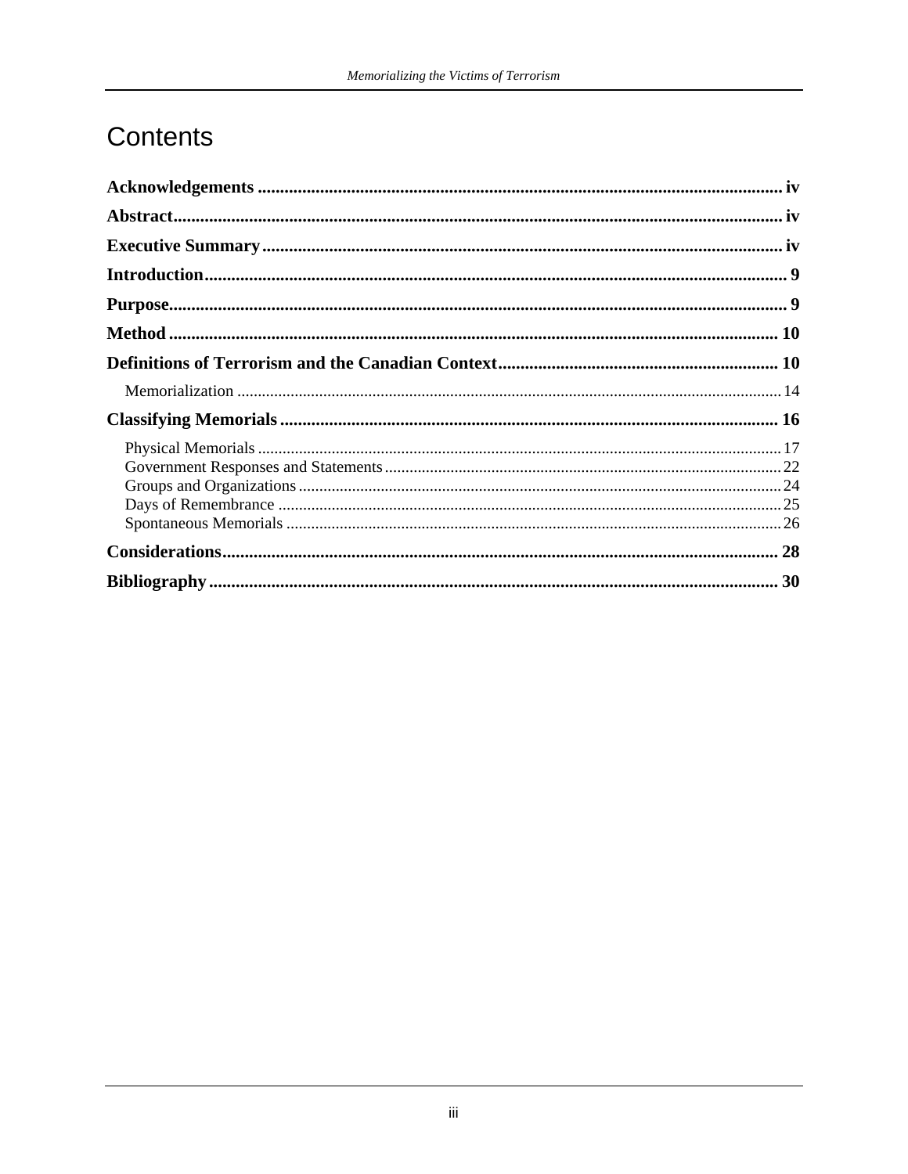### Contents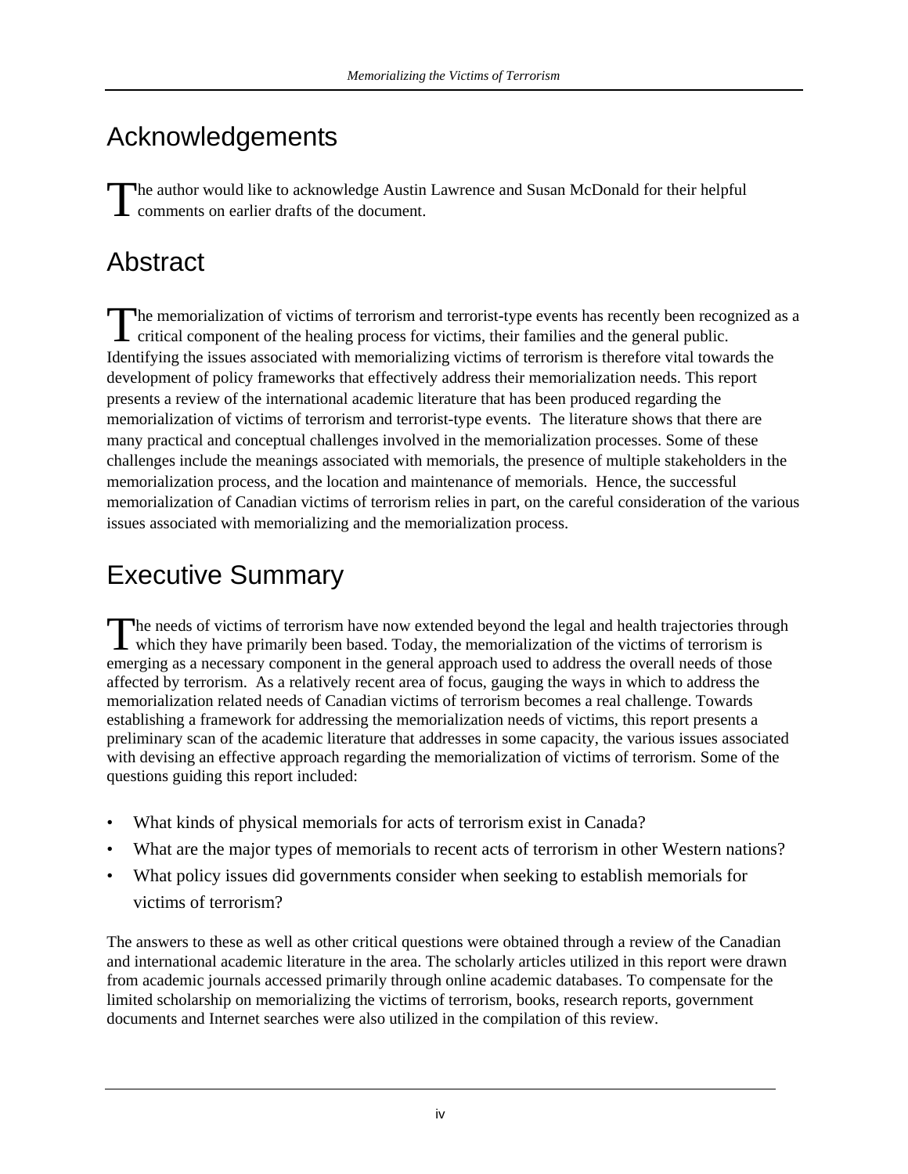## Acknowledgements

The author would like to acknowledge Austin Lawrence and Susan McDonald for their helpful The author would like to acknowledge Austin<br>comments on earlier drafts of the document.

## Abstract

The memorialization of victims of terrorism and terrorist-type events has recently been recognized as a The memorialization of victims of terrorism and terrorist-type events has recently been recognicitieal component of the healing process for victims, their families and the general public. Identifying the issues associated with memorializing victims of terrorism is therefore vital towards the development of policy frameworks that effectively address their memorialization needs. This report presents a review of the international academic literature that has been produced regarding the memorialization of victims of terrorism and terrorist-type events. The literature shows that there are many practical and conceptual challenges involved in the memorialization processes. Some of these challenges include the meanings associated with memorials, the presence of multiple stakeholders in the memorialization process, and the location and maintenance of memorials. Hence, the successful memorialization of Canadian victims of terrorism relies in part, on the careful consideration of the various issues associated with memorializing and the memorialization process.

## Executive Summary

he needs of victims of terrorism have now extended beyond the legal and health trajectories through The needs of victims of terrorism have now extended beyond the legal and health trajectories through which they have primarily been based. Today, the memorialization of the victims of terrorism is emerging as a necessary component in the general approach used to address the overall needs of those affected by terrorism. As a relatively recent area of focus, gauging the ways in which to address the memorialization related needs of Canadian victims of terrorism becomes a real challenge. Towards establishing a framework for addressing the memorialization needs of victims, this report presents a preliminary scan of the academic literature that addresses in some capacity, the various issues associated with devising an effective approach regarding the memorialization of victims of terrorism. Some of the questions guiding this report included:

- What kinds of physical memorials for acts of terrorism exist in Canada?
- What are the major types of memorials to recent acts of terrorism in other Western nations?
- What policy issues did governments consider when seeking to establish memorials for victims of terrorism?

The answers to these as well as other critical questions were obtained through a review of the Canadian and international academic literature in the area. The scholarly articles utilized in this report were drawn from academic journals accessed primarily through online academic databases. To compensate for the limited scholarship on memorializing the victims of terrorism, books, research reports, government documents and Internet searches were also utilized in the compilation of this review.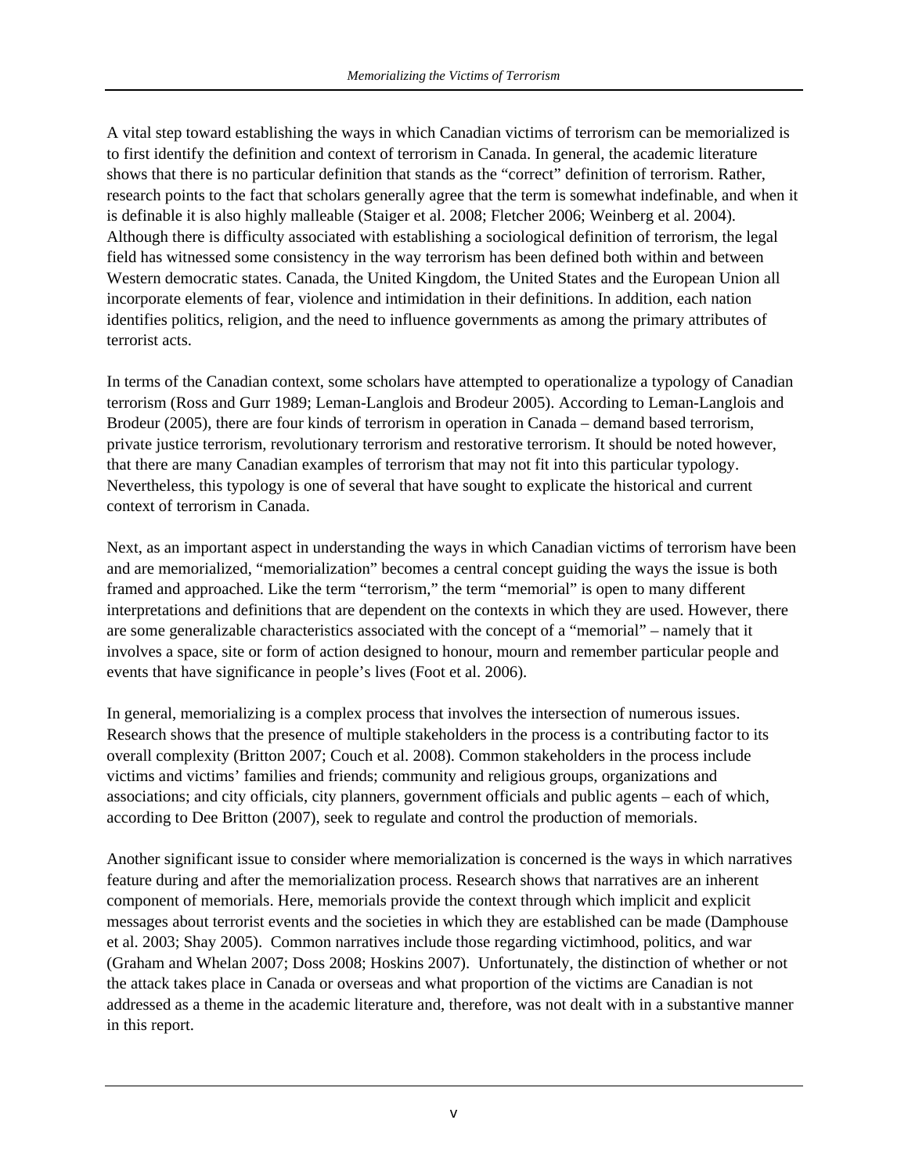A vital step toward establishing the ways in which Canadian victims of terrorism can be memorialized is to first identify the definition and context of terrorism in Canada. In general, the academic literature shows that there is no particular definition that stands as the "correct" definition of terrorism. Rather, research points to the fact that scholars generally agree that the term is somewhat indefinable, and when it is definable it is also highly malleable (Staiger et al. 2008; Fletcher 2006; Weinberg et al. 2004). Although there is difficulty associated with establishing a sociological definition of terrorism, the legal field has witnessed some consistency in the way terrorism has been defined both within and between Western democratic states. Canada, the United Kingdom, the United States and the European Union all incorporate elements of fear, violence and intimidation in their definitions. In addition, each nation identifies politics, religion, and the need to influence governments as among the primary attributes of terrorist acts.

In terms of the Canadian context, some scholars have attempted to operationalize a typology of Canadian terrorism (Ross and Gurr 1989; Leman-Langlois and Brodeur 2005). According to Leman-Langlois and Brodeur (2005), there are four kinds of terrorism in operation in Canada – demand based terrorism, private justice terrorism, revolutionary terrorism and restorative terrorism. It should be noted however, that there are many Canadian examples of terrorism that may not fit into this particular typology. Nevertheless, this typology is one of several that have sought to explicate the historical and current context of terrorism in Canada.

Next, as an important aspect in understanding the ways in which Canadian victims of terrorism have been and are memorialized, "memorialization" becomes a central concept guiding the ways the issue is both framed and approached. Like the term "terrorism," the term "memorial" is open to many different interpretations and definitions that are dependent on the contexts in which they are used. However, there are some generalizable characteristics associated with the concept of a "memorial" – namely that it involves a space, site or form of action designed to honour, mourn and remember particular people and events that have significance in people's lives (Foot et al. 2006).

In general, memorializing is a complex process that involves the intersection of numerous issues. Research shows that the presence of multiple stakeholders in the process is a contributing factor to its overall complexity (Britton 2007; Couch et al. 2008). Common stakeholders in the process include victims and victims' families and friends; community and religious groups, organizations and associations; and city officials, city planners, government officials and public agents – each of which, according to Dee Britton (2007), seek to regulate and control the production of memorials.

Another significant issue to consider where memorialization is concerned is the ways in which narratives feature during and after the memorialization process. Research shows that narratives are an inherent component of memorials. Here, memorials provide the context through which implicit and explicit messages about terrorist events and the societies in which they are established can be made (Damphouse et al. 2003; Shay 2005). Common narratives include those regarding victimhood, politics, and war (Graham and Whelan 2007; Doss 2008; Hoskins 2007). Unfortunately, the distinction of whether or not the attack takes place in Canada or overseas and what proportion of the victims are Canadian is not addressed as a theme in the academic literature and, therefore, was not dealt with in a substantive manner in this report.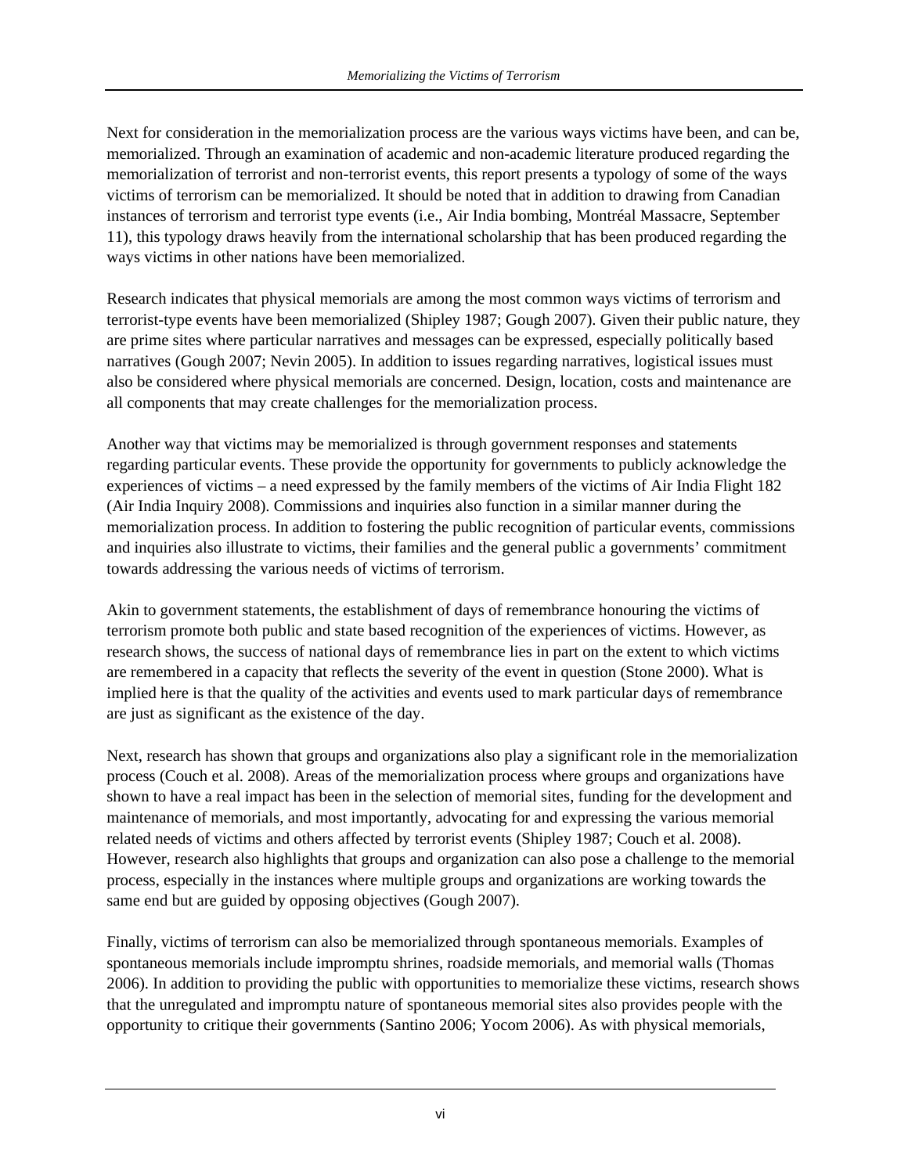Next for consideration in the memorialization process are the various ways victims have been, and can be, memorialized. Through an examination of academic and non-academic literature produced regarding the memorialization of terrorist and non-terrorist events, this report presents a typology of some of the ways victims of terrorism can be memorialized. It should be noted that in addition to drawing from Canadian instances of terrorism and terrorist type events (i.e., Air India bombing, Montréal Massacre, September 11), this typology draws heavily from the international scholarship that has been produced regarding the ways victims in other nations have been memorialized.

Research indicates that physical memorials are among the most common ways victims of terrorism and terrorist-type events have been memorialized (Shipley 1987; Gough 2007). Given their public nature, they are prime sites where particular narratives and messages can be expressed, especially politically based narratives (Gough 2007; Nevin 2005). In addition to issues regarding narratives, logistical issues must also be considered where physical memorials are concerned. Design, location, costs and maintenance are all components that may create challenges for the memorialization process.

Another way that victims may be memorialized is through government responses and statements regarding particular events. These provide the opportunity for governments to publicly acknowledge the experiences of victims – a need expressed by the family members of the victims of Air India Flight 182 (Air India Inquiry 2008). Commissions and inquiries also function in a similar manner during the memorialization process. In addition to fostering the public recognition of particular events, commissions and inquiries also illustrate to victims, their families and the general public a governments' commitment towards addressing the various needs of victims of terrorism.

Akin to government statements, the establishment of days of remembrance honouring the victims of terrorism promote both public and state based recognition of the experiences of victims. However, as research shows, the success of national days of remembrance lies in part on the extent to which victims are remembered in a capacity that reflects the severity of the event in question (Stone 2000). What is implied here is that the quality of the activities and events used to mark particular days of remembrance are just as significant as the existence of the day.

Next, research has shown that groups and organizations also play a significant role in the memorialization process (Couch et al. 2008). Areas of the memorialization process where groups and organizations have shown to have a real impact has been in the selection of memorial sites, funding for the development and maintenance of memorials, and most importantly, advocating for and expressing the various memorial related needs of victims and others affected by terrorist events (Shipley 1987; Couch et al. 2008). However, research also highlights that groups and organization can also pose a challenge to the memorial process, especially in the instances where multiple groups and organizations are working towards the same end but are guided by opposing objectives (Gough 2007).

Finally, victims of terrorism can also be memorialized through spontaneous memorials. Examples of spontaneous memorials include impromptu shrines, roadside memorials, and memorial walls (Thomas 2006). In addition to providing the public with opportunities to memorialize these victims, research shows that the unregulated and impromptu nature of spontaneous memorial sites also provides people with the opportunity to critique their governments (Santino 2006; Yocom 2006). As with physical memorials,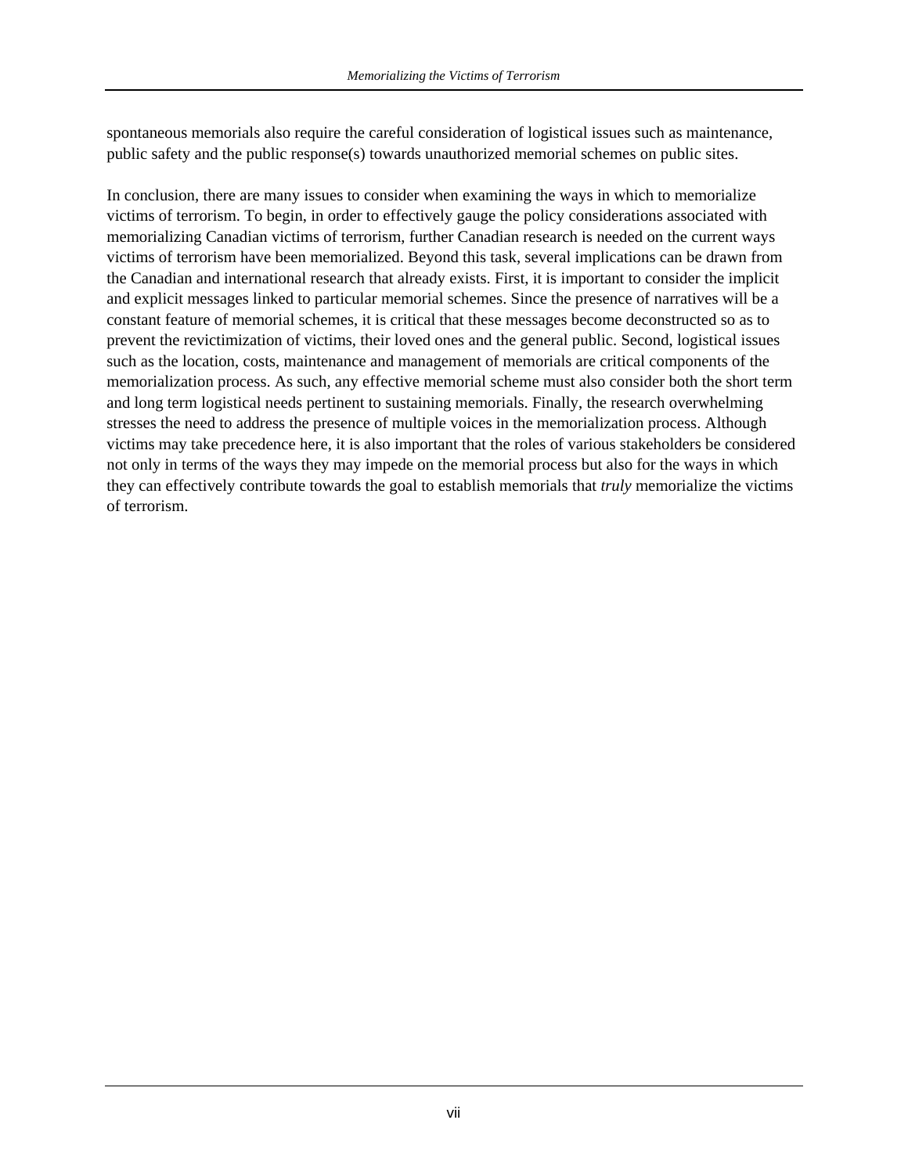spontaneous memorials also require the careful consideration of logistical issues such as maintenance, public safety and the public response(s) towards unauthorized memorial schemes on public sites.

In conclusion, there are many issues to consider when examining the ways in which to memorialize victims of terrorism. To begin, in order to effectively gauge the policy considerations associated with memorializing Canadian victims of terrorism, further Canadian research is needed on the current ways victims of terrorism have been memorialized. Beyond this task, several implications can be drawn from the Canadian and international research that already exists. First, it is important to consider the implicit and explicit messages linked to particular memorial schemes. Since the presence of narratives will be a constant feature of memorial schemes, it is critical that these messages become deconstructed so as to prevent the revictimization of victims, their loved ones and the general public. Second, logistical issues such as the location, costs, maintenance and management of memorials are critical components of the memorialization process. As such, any effective memorial scheme must also consider both the short term and long term logistical needs pertinent to sustaining memorials. Finally, the research overwhelming stresses the need to address the presence of multiple voices in the memorialization process. Although victims may take precedence here, it is also important that the roles of various stakeholders be considered not only in terms of the ways they may impede on the memorial process but also for the ways in which they can effectively contribute towards the goal to establish memorials that *truly* memorialize the victims of terrorism.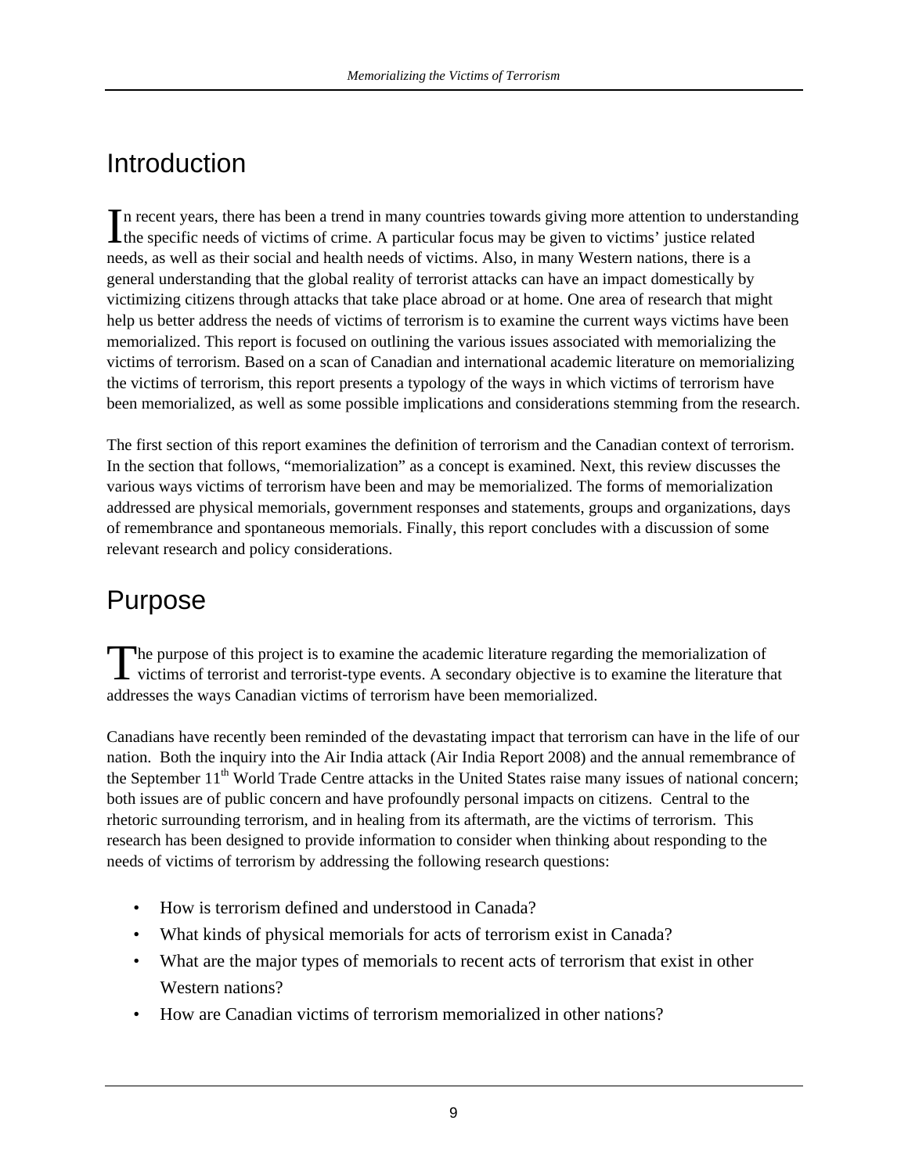## Introduction

n recent years, there has been a trend in many countries towards giving more attention to understanding In recent years, there has been a trend in many countries towards giving more attention to understand the specific needs of victims of crime. A particular focus may be given to victims' justice related needs, as well as their social and health needs of victims. Also, in many Western nations, there is a general understanding that the global reality of terrorist attacks can have an impact domestically by victimizing citizens through attacks that take place abroad or at home. One area of research that might help us better address the needs of victims of terrorism is to examine the current ways victims have been memorialized. This report is focused on outlining the various issues associated with memorializing the victims of terrorism. Based on a scan of Canadian and international academic literature on memorializing the victims of terrorism, this report presents a typology of the ways in which victims of terrorism have been memorialized, as well as some possible implications and considerations stemming from the research.

The first section of this report examines the definition of terrorism and the Canadian context of terrorism. In the section that follows, "memorialization" as a concept is examined. Next, this review discusses the various ways victims of terrorism have been and may be memorialized. The forms of memorialization addressed are physical memorials, government responses and statements, groups and organizations, days of remembrance and spontaneous memorials. Finally, this report concludes with a discussion of some relevant research and policy considerations.

## Purpose

he purpose of this project is to examine the academic literature regarding the memorialization of The purpose of this project is to examine the academic literature regarding the memorialization of victims of terrorist and terrorist-type events. A secondary objective is to examine the literature that addresses the ways Canadian victims of terrorism have been memorialized.

Canadians have recently been reminded of the devastating impact that terrorism can have in the life of our nation. Both the inquiry into the Air India attack (Air India Report 2008) and the annual remembrance of the September  $11<sup>th</sup>$  World Trade Centre attacks in the United States raise many issues of national concern; both issues are of public concern and have profoundly personal impacts on citizens. Central to the rhetoric surrounding terrorism, and in healing from its aftermath, are the victims of terrorism. This research has been designed to provide information to consider when thinking about responding to the needs of victims of terrorism by addressing the following research questions:

- How is terrorism defined and understood in Canada?
- What kinds of physical memorials for acts of terrorism exist in Canada?
- What are the major types of memorials to recent acts of terrorism that exist in other Western nations?
- How are Canadian victims of terrorism memorialized in other nations?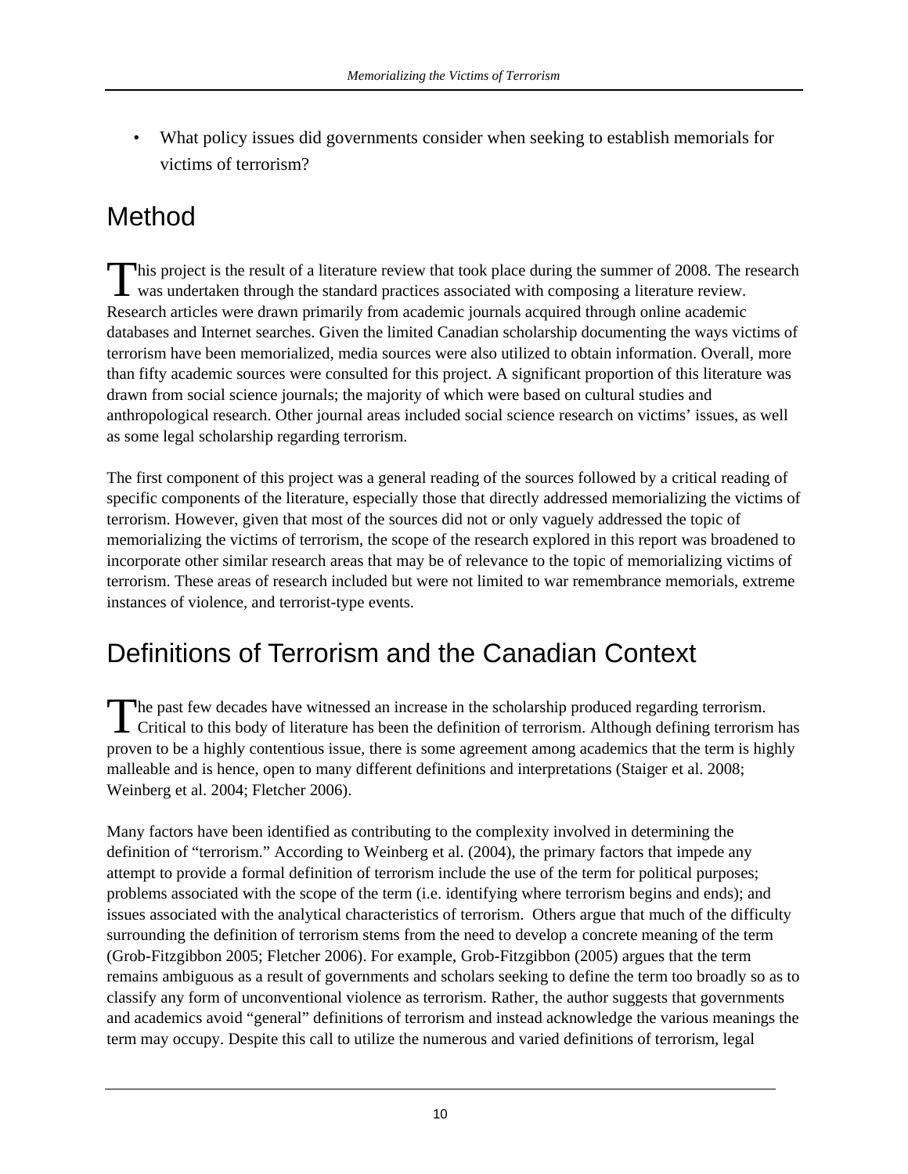• What policy issues did governments consider when seeking to establish memorials for victims of terrorism?

## Method

his project is the result of a literature review that took place during the summer of 2008. The research This project is the result of a literature review that took place during the summer of 2008. The r was undertaken through the standard practices associated with composing a literature review. Research articles were drawn primarily from academic journals acquired through online academic databases and Internet searches. Given the limited Canadian scholarship documenting the ways victims of terrorism have been memorialized, media sources were also utilized to obtain information. Overall, more than fifty academic sources were consulted for this project. A significant proportion of this literature was drawn from social science journals; the majority of which were based on cultural studies and anthropological research. Other journal areas included social science research on victims' issues, as well as some legal scholarship regarding terrorism.

The first component of this project was a general reading of the sources followed by a critical reading of specific components of the literature, especially those that directly addressed memorializing the victims of terrorism. However, given that most of the sources did not or only vaguely addressed the topic of memorializing the victims of terrorism, the scope of the research explored in this report was broadened to incorporate other similar research areas that may be of relevance to the topic of memorializing victims of terrorism. These areas of research included but were not limited to war remembrance memorials, extreme instances of violence, and terrorist-type events.

## Definitions of Terrorism and the Canadian Context

he past few decades have witnessed an increase in the scholarship produced regarding terrorism. The past few decades have witnessed an increase in the scholarship produced regarding terrorism.<br>Critical to this body of literature has been the definition of terrorism. Although defining terrorism has proven to be a highly contentious issue, there is some agreement among academics that the term is highly malleable and is hence, open to many different definitions and interpretations (Staiger et al. 2008; Weinberg et al. 2004; Fletcher 2006).

Many factors have been identified as contributing to the complexity involved in determining the definition of "terrorism." According to Weinberg et al. (2004), the primary factors that impede any attempt to provide a formal definition of terrorism include the use of the term for political purposes; problems associated with the scope of the term (i.e. identifying where terrorism begins and ends); and issues associated with the analytical characteristics of terrorism. Others argue that much of the difficulty surrounding the definition of terrorism stems from the need to develop a concrete meaning of the term (Grob-Fitzgibbon 2005; Fletcher 2006). For example, Grob-Fitzgibbon (2005) argues that the term remains ambiguous as a result of governments and scholars seeking to define the term too broadly so as to classify any form of unconventional violence as terrorism. Rather, the author suggests that governments and academics avoid "general" definitions of terrorism and instead acknowledge the various meanings the term may occupy. Despite this call to utilize the numerous and varied definitions of terrorism, legal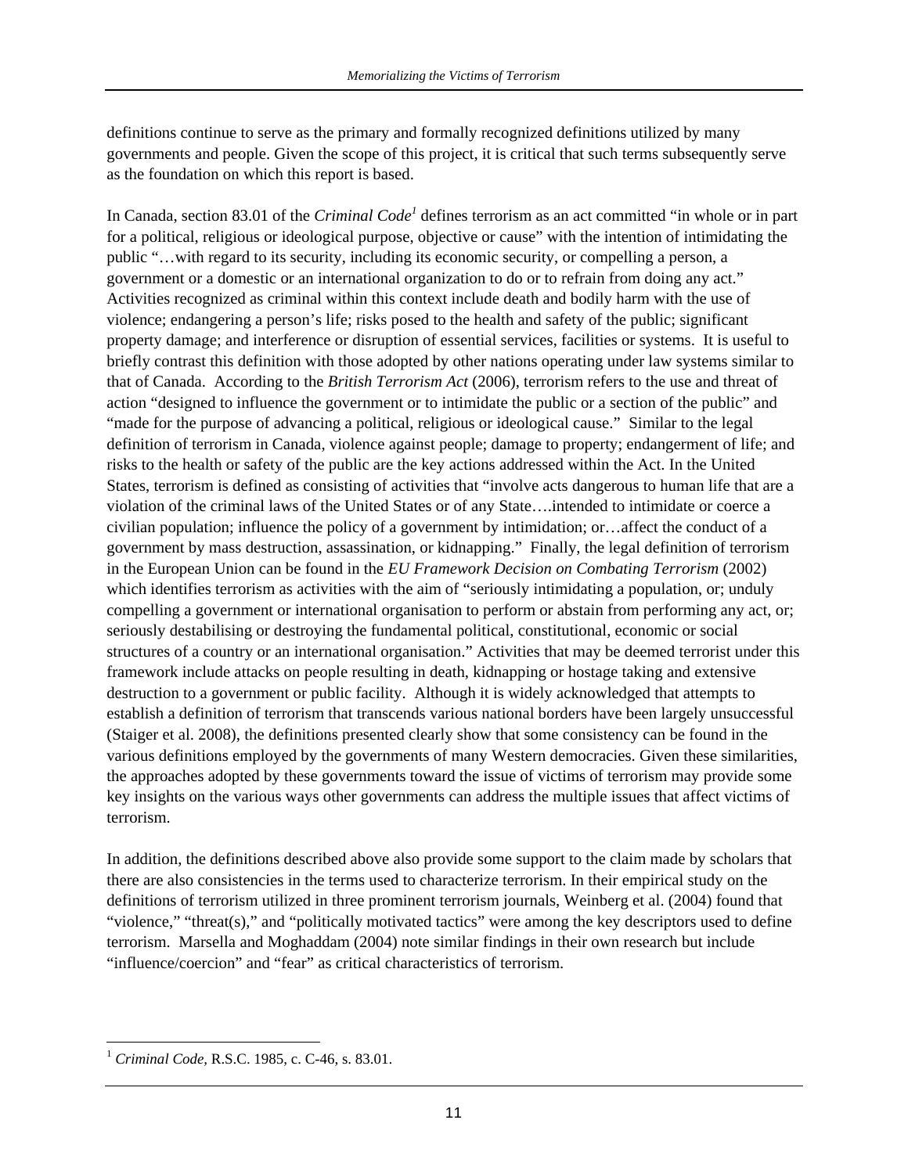definitions continue to serve as the primary and formally recognized definitions utilized by many governments and people. Given the scope of this project, it is critical that such terms subsequently serve as the foundation on which this report is based.

In Canada, section 83.01 of the *Criminal Code<sup>1</sup>* defines terrorism as an act committed "in whole or in part for a political, religious or ideological purpose, objective or cause" with the intention of intimidating the public "…with regard to its security, including its economic security, or compelling a person, a government or a domestic or an international organization to do or to refrain from doing any act." Activities recognized as criminal within this context include death and bodily harm with the use of violence; endangering a person's life; risks posed to the health and safety of the public; significant property damage; and interference or disruption of essential services, facilities or systems. It is useful to briefly contrast this definition with those adopted by other nations operating under law systems similar to that of Canada. According to the *British Terrorism Act* (2006), terrorism refers to the use and threat of action "designed to influence the government or to intimidate the public or a section of the public" and "made for the purpose of advancing a political, religious or ideological cause." Similar to the legal definition of terrorism in Canada, violence against people; damage to property; endangerment of life; and risks to the health or safety of the public are the key actions addressed within the Act. In the United States, terrorism is defined as consisting of activities that "involve acts dangerous to human life that are a violation of the criminal laws of the United States or of any State….intended to intimidate or coerce a civilian population; influence the policy of a government by intimidation; or…affect the conduct of a government by mass destruction, assassination, or kidnapping." Finally, the legal definition of terrorism in the European Union can be found in the *EU Framework Decision on Combating Terrorism* (2002) which identifies terrorism as activities with the aim of "seriously intimidating a population, or; unduly compelling a government or international organisation to perform or abstain from performing any act, or; seriously destabilising or destroying the fundamental political, constitutional, economic or social structures of a country or an international organisation." Activities that may be deemed terrorist under this framework include attacks on people resulting in death, kidnapping or hostage taking and extensive destruction to a government or public facility. Although it is widely acknowledged that attempts to establish a definition of terrorism that transcends various national borders have been largely unsuccessful (Staiger et al. 2008), the definitions presented clearly show that some consistency can be found in the various definitions employed by the governments of many Western democracies. Given these similarities, the approaches adopted by these governments toward the issue of victims of terrorism may provide some key insights on the various ways other governments can address the multiple issues that affect victims of terrorism.

In addition, the definitions described above also provide some support to the claim made by scholars that there are also consistencies in the terms used to characterize terrorism. In their empirical study on the definitions of terrorism utilized in three prominent terrorism journals, Weinberg et al. (2004) found that "violence," "threat(s)," and "politically motivated tactics" were among the key descriptors used to define terrorism. Marsella and Moghaddam (2004) note similar findings in their own research but include "influence/coercion" and "fear" as critical characteristics of terrorism.

 $\overline{a}$ <sup>1</sup> *Criminal Code,* R.S.C. 1985, c. C-46, s. 83.01.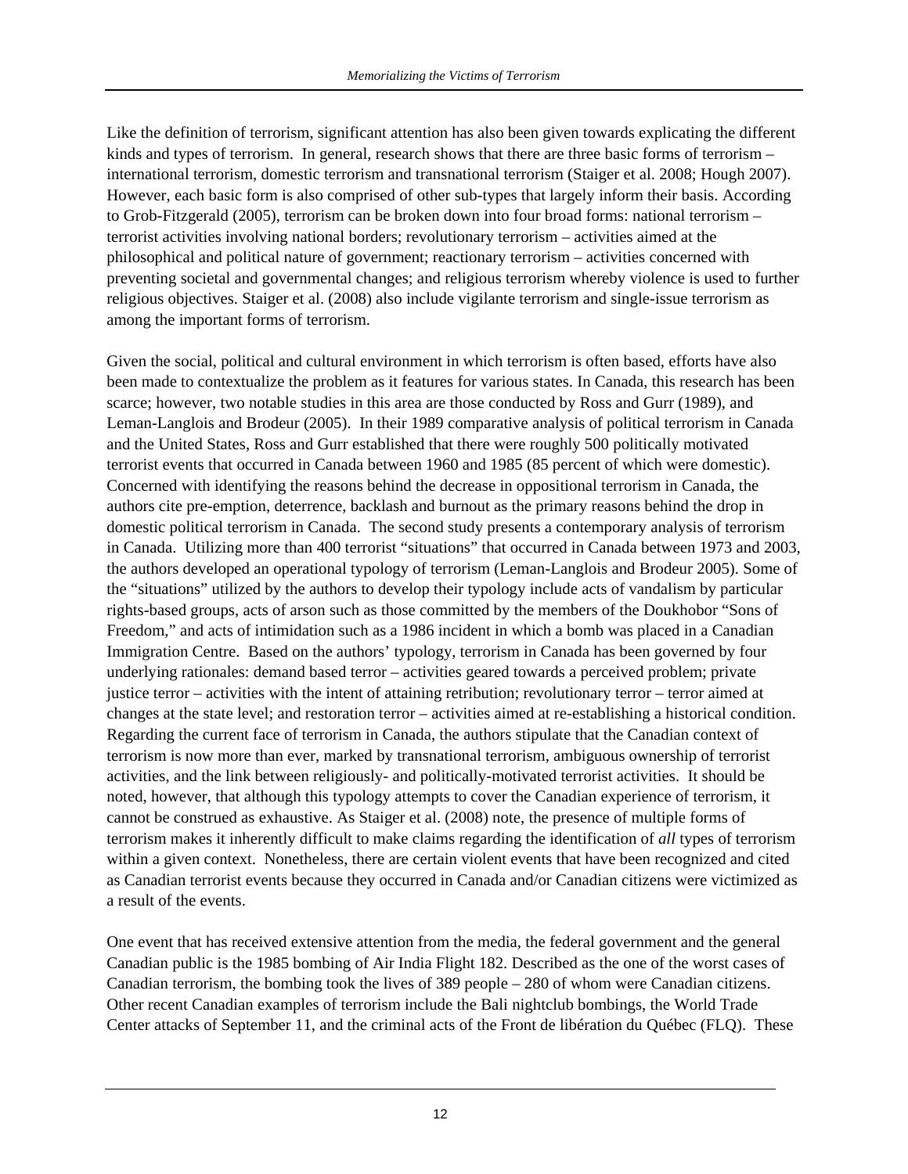Like the definition of terrorism, significant attention has also been given towards explicating the different kinds and types of terrorism. In general, research shows that there are three basic forms of terrorism – international terrorism, domestic terrorism and transnational terrorism (Staiger et al. 2008; Hough 2007). However, each basic form is also comprised of other sub-types that largely inform their basis. According to Grob-Fitzgerald (2005), terrorism can be broken down into four broad forms: national terrorism – terrorist activities involving national borders; revolutionary terrorism – activities aimed at the philosophical and political nature of government; reactionary terrorism – activities concerned with preventing societal and governmental changes; and religious terrorism whereby violence is used to further religious objectives. Staiger et al. (2008) also include vigilante terrorism and single-issue terrorism as among the important forms of terrorism.

Given the social, political and cultural environment in which terrorism is often based, efforts have also been made to contextualize the problem as it features for various states. In Canada, this research has been scarce; however, two notable studies in this area are those conducted by Ross and Gurr (1989), and Leman-Langlois and Brodeur (2005). In their 1989 comparative analysis of political terrorism in Canada and the United States, Ross and Gurr established that there were roughly 500 politically motivated terrorist events that occurred in Canada between 1960 and 1985 (85 percent of which were domestic). Concerned with identifying the reasons behind the decrease in oppositional terrorism in Canada, the authors cite pre-emption, deterrence, backlash and burnout as the primary reasons behind the drop in domestic political terrorism in Canada. The second study presents a contemporary analysis of terrorism in Canada. Utilizing more than 400 terrorist "situations" that occurred in Canada between 1973 and 2003, the authors developed an operational typology of terrorism (Leman-Langlois and Brodeur 2005). Some of the "situations" utilized by the authors to develop their typology include acts of vandalism by particular rights-based groups, acts of arson such as those committed by the members of the Doukhobor "Sons of Freedom," and acts of intimidation such as a 1986 incident in which a bomb was placed in a Canadian Immigration Centre. Based on the authors' typology, terrorism in Canada has been governed by four underlying rationales: demand based terror – activities geared towards a perceived problem; private justice terror – activities with the intent of attaining retribution; revolutionary terror – terror aimed at changes at the state level; and restoration terror – activities aimed at re-establishing a historical condition. Regarding the current face of terrorism in Canada, the authors stipulate that the Canadian context of terrorism is now more than ever, marked by transnational terrorism, ambiguous ownership of terrorist activities, and the link between religiously- and politically-motivated terrorist activities. It should be noted, however, that although this typology attempts to cover the Canadian experience of terrorism, it cannot be construed as exhaustive. As Staiger et al. (2008) note, the presence of multiple forms of terrorism makes it inherently difficult to make claims regarding the identification of *all* types of terrorism within a given context. Nonetheless, there are certain violent events that have been recognized and cited as Canadian terrorist events because they occurred in Canada and/or Canadian citizens were victimized as a result of the events.

One event that has received extensive attention from the media, the federal government and the general Canadian public is the 1985 bombing of Air India Flight 182. Described as the one of the worst cases of Canadian terrorism, the bombing took the lives of 389 people – 280 of whom were Canadian citizens. Other recent Canadian examples of terrorism include the Bali nightclub bombings, the World Trade Center attacks of September 11, and the criminal acts of the Front de libération du Québec (FLQ). These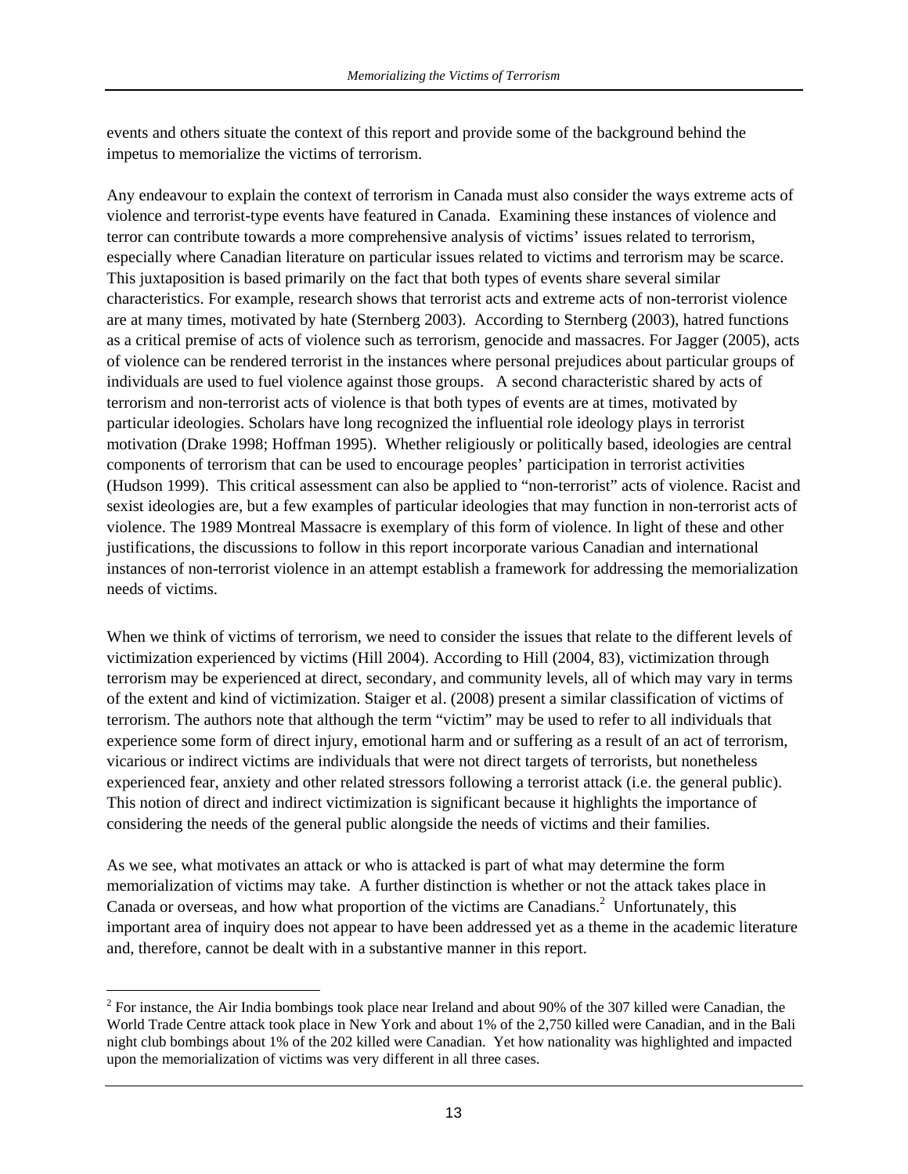events and others situate the context of this report and provide some of the background behind the impetus to memorialize the victims of terrorism.

Any endeavour to explain the context of terrorism in Canada must also consider the ways extreme acts of violence and terrorist-type events have featured in Canada. Examining these instances of violence and terror can contribute towards a more comprehensive analysis of victims' issues related to terrorism, especially where Canadian literature on particular issues related to victims and terrorism may be scarce. This juxtaposition is based primarily on the fact that both types of events share several similar characteristics. For example, research shows that terrorist acts and extreme acts of non-terrorist violence are at many times, motivated by hate (Sternberg 2003). According to Sternberg (2003), hatred functions as a critical premise of acts of violence such as terrorism, genocide and massacres. For Jagger (2005), acts of violence can be rendered terrorist in the instances where personal prejudices about particular groups of individuals are used to fuel violence against those groups. A second characteristic shared by acts of terrorism and non-terrorist acts of violence is that both types of events are at times, motivated by particular ideologies. Scholars have long recognized the influential role ideology plays in terrorist motivation (Drake 1998; Hoffman 1995). Whether religiously or politically based, ideologies are central components of terrorism that can be used to encourage peoples' participation in terrorist activities (Hudson 1999). This critical assessment can also be applied to "non-terrorist" acts of violence. Racist and sexist ideologies are, but a few examples of particular ideologies that may function in non-terrorist acts of violence. The 1989 Montreal Massacre is exemplary of this form of violence. In light of these and other justifications, the discussions to follow in this report incorporate various Canadian and international instances of non-terrorist violence in an attempt establish a framework for addressing the memorialization needs of victims.

When we think of victims of terrorism, we need to consider the issues that relate to the different levels of victimization experienced by victims (Hill 2004). According to Hill (2004, 83), victimization through terrorism may be experienced at direct, secondary, and community levels, all of which may vary in terms of the extent and kind of victimization. Staiger et al. (2008) present a similar classification of victims of terrorism. The authors note that although the term "victim" may be used to refer to all individuals that experience some form of direct injury, emotional harm and or suffering as a result of an act of terrorism, vicarious or indirect victims are individuals that were not direct targets of terrorists, but nonetheless experienced fear, anxiety and other related stressors following a terrorist attack (i.e. the general public). This notion of direct and indirect victimization is significant because it highlights the importance of considering the needs of the general public alongside the needs of victims and their families.

As we see, what motivates an attack or who is attacked is part of what may determine the form memorialization of victims may take. A further distinction is whether or not the attack takes place in Canada or overseas, and how what proportion of the victims are Canadians. $2$  Unfortunately, this important area of inquiry does not appear to have been addressed yet as a theme in the academic literature and, therefore, cannot be dealt with in a substantive manner in this report.

 $\overline{a}$ 

 $2^2$  For instance, the Air India bombings took place near Ireland and about 90% of the 307 killed were Canadian, the World Trade Centre attack took place in New York and about 1% of the 2,750 killed were Canadian, and in the Bali night club bombings about 1% of the 202 killed were Canadian. Yet how nationality was highlighted and impacted upon the memorialization of victims was very different in all three cases.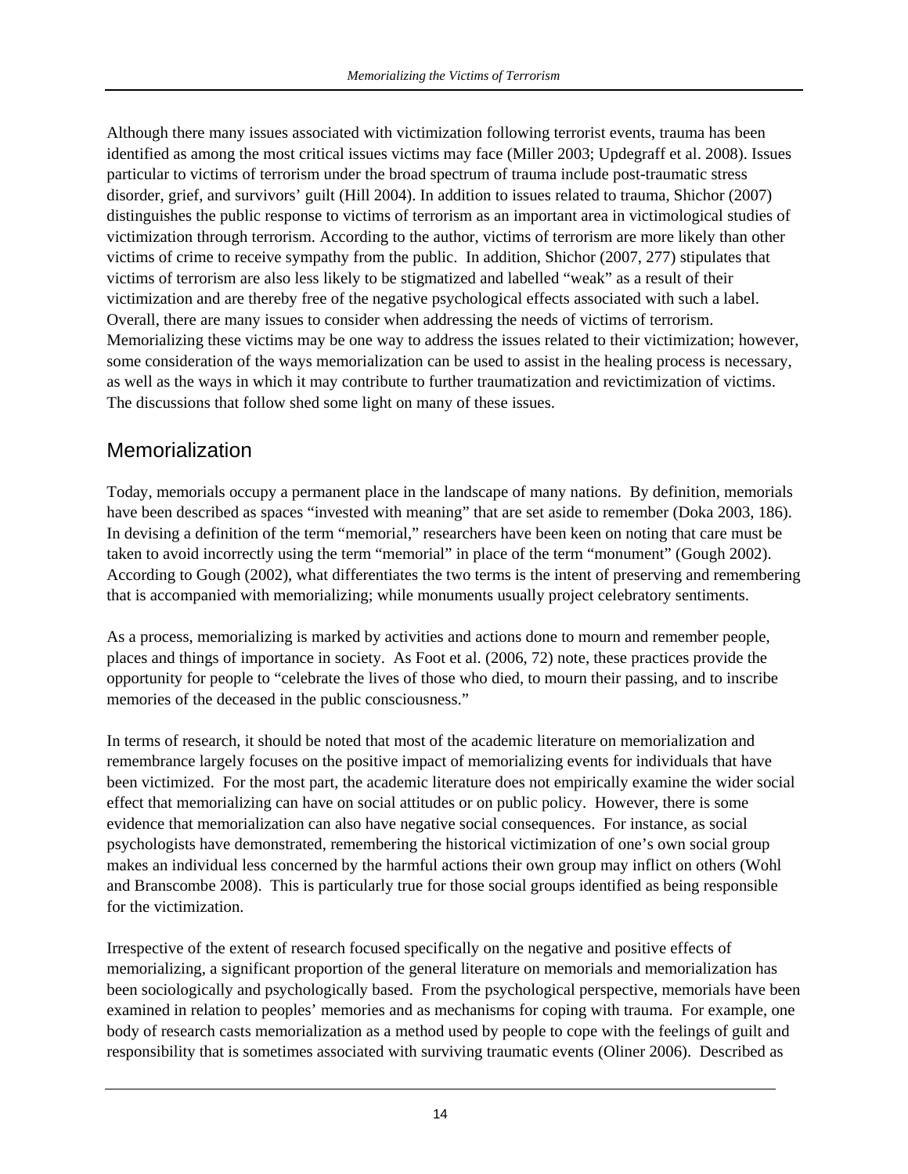Although there many issues associated with victimization following terrorist events, trauma has been identified as among the most critical issues victims may face (Miller 2003; Updegraff et al. 2008). Issues particular to victims of terrorism under the broad spectrum of trauma include post-traumatic stress disorder, grief, and survivors' guilt (Hill 2004). In addition to issues related to trauma, Shichor (2007) distinguishes the public response to victims of terrorism as an important area in victimological studies of victimization through terrorism. According to the author, victims of terrorism are more likely than other victims of crime to receive sympathy from the public. In addition, Shichor (2007, 277) stipulates that victims of terrorism are also less likely to be stigmatized and labelled "weak" as a result of their victimization and are thereby free of the negative psychological effects associated with such a label. Overall, there are many issues to consider when addressing the needs of victims of terrorism. Memorializing these victims may be one way to address the issues related to their victimization; however, some consideration of the ways memorialization can be used to assist in the healing process is necessary, as well as the ways in which it may contribute to further traumatization and revictimization of victims. The discussions that follow shed some light on many of these issues.

### Memorialization

Today, memorials occupy a permanent place in the landscape of many nations. By definition, memorials have been described as spaces "invested with meaning" that are set aside to remember (Doka 2003, 186). In devising a definition of the term "memorial," researchers have been keen on noting that care must be taken to avoid incorrectly using the term "memorial" in place of the term "monument" (Gough 2002). According to Gough (2002), what differentiates the two terms is the intent of preserving and remembering that is accompanied with memorializing; while monuments usually project celebratory sentiments.

As a process, memorializing is marked by activities and actions done to mourn and remember people, places and things of importance in society. As Foot et al. (2006, 72) note, these practices provide the opportunity for people to "celebrate the lives of those who died, to mourn their passing, and to inscribe memories of the deceased in the public consciousness."

In terms of research, it should be noted that most of the academic literature on memorialization and remembrance largely focuses on the positive impact of memorializing events for individuals that have been victimized. For the most part, the academic literature does not empirically examine the wider social effect that memorializing can have on social attitudes or on public policy. However, there is some evidence that memorialization can also have negative social consequences. For instance, as social psychologists have demonstrated, remembering the historical victimization of one's own social group makes an individual less concerned by the harmful actions their own group may inflict on others (Wohl and Branscombe 2008). This is particularly true for those social groups identified as being responsible for the victimization.

Irrespective of the extent of research focused specifically on the negative and positive effects of memorializing, a significant proportion of the general literature on memorials and memorialization has been sociologically and psychologically based. From the psychological perspective, memorials have been examined in relation to peoples' memories and as mechanisms for coping with trauma. For example, one body of research casts memorialization as a method used by people to cope with the feelings of guilt and responsibility that is sometimes associated with surviving traumatic events (Oliner 2006). Described as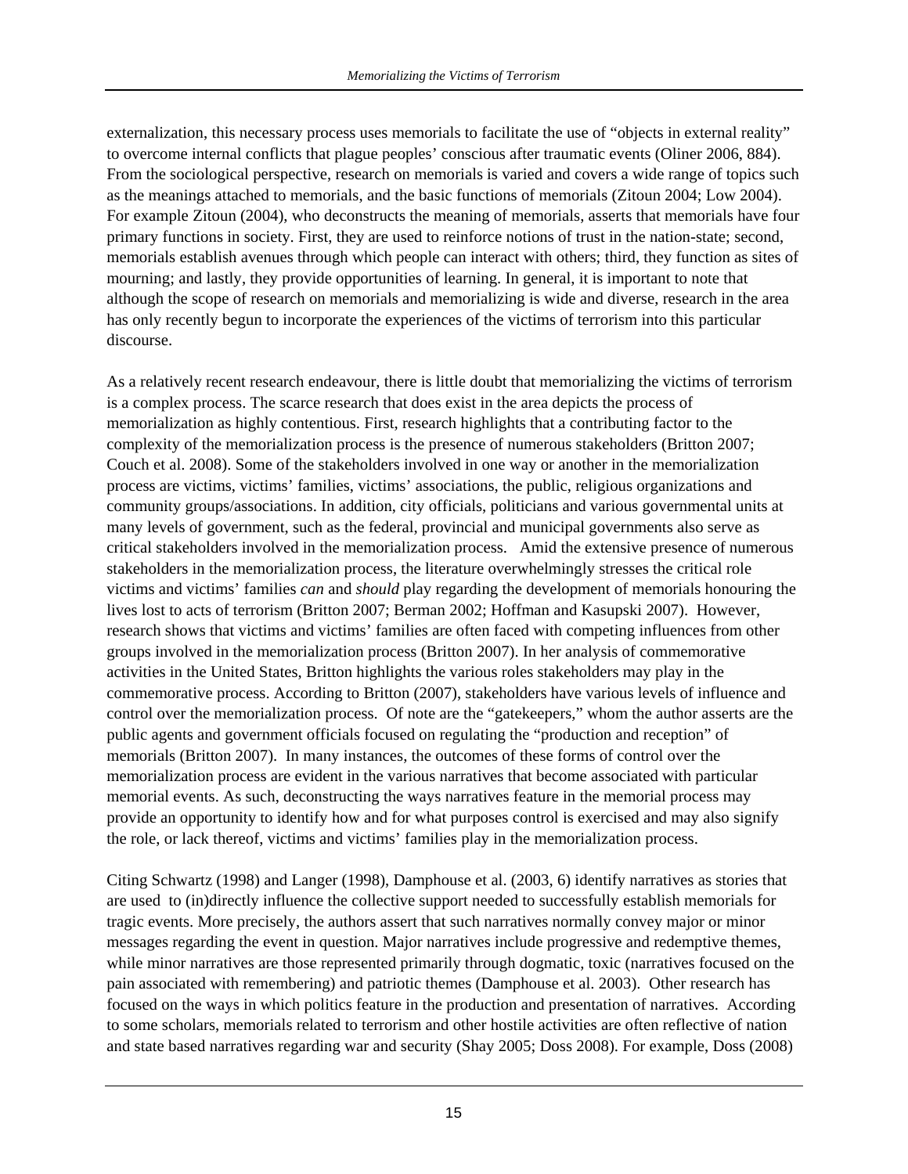externalization, this necessary process uses memorials to facilitate the use of "objects in external reality" to overcome internal conflicts that plague peoples' conscious after traumatic events (Oliner 2006, 884). From the sociological perspective, research on memorials is varied and covers a wide range of topics such as the meanings attached to memorials, and the basic functions of memorials (Zitoun 2004; Low 2004). For example Zitoun (2004), who deconstructs the meaning of memorials, asserts that memorials have four primary functions in society. First, they are used to reinforce notions of trust in the nation-state; second, memorials establish avenues through which people can interact with others; third, they function as sites of mourning; and lastly, they provide opportunities of learning. In general, it is important to note that although the scope of research on memorials and memorializing is wide and diverse, research in the area has only recently begun to incorporate the experiences of the victims of terrorism into this particular discourse.

As a relatively recent research endeavour, there is little doubt that memorializing the victims of terrorism is a complex process. The scarce research that does exist in the area depicts the process of memorialization as highly contentious. First, research highlights that a contributing factor to the complexity of the memorialization process is the presence of numerous stakeholders (Britton 2007; Couch et al. 2008). Some of the stakeholders involved in one way or another in the memorialization process are victims, victims' families, victims' associations, the public, religious organizations and community groups/associations. In addition, city officials, politicians and various governmental units at many levels of government, such as the federal, provincial and municipal governments also serve as critical stakeholders involved in the memorialization process. Amid the extensive presence of numerous stakeholders in the memorialization process, the literature overwhelmingly stresses the critical role victims and victims' families *can* and *should* play regarding the development of memorials honouring the lives lost to acts of terrorism (Britton 2007; Berman 2002; Hoffman and Kasupski 2007). However, research shows that victims and victims' families are often faced with competing influences from other groups involved in the memorialization process (Britton 2007). In her analysis of commemorative activities in the United States, Britton highlights the various roles stakeholders may play in the commemorative process. According to Britton (2007), stakeholders have various levels of influence and control over the memorialization process. Of note are the "gatekeepers," whom the author asserts are the public agents and government officials focused on regulating the "production and reception" of memorials (Britton 2007). In many instances, the outcomes of these forms of control over the memorialization process are evident in the various narratives that become associated with particular memorial events. As such, deconstructing the ways narratives feature in the memorial process may provide an opportunity to identify how and for what purposes control is exercised and may also signify the role, or lack thereof, victims and victims' families play in the memorialization process.

Citing Schwartz (1998) and Langer (1998), Damphouse et al. (2003, 6) identify narratives as stories that are used to (in)directly influence the collective support needed to successfully establish memorials for tragic events. More precisely, the authors assert that such narratives normally convey major or minor messages regarding the event in question. Major narratives include progressive and redemptive themes, while minor narratives are those represented primarily through dogmatic, toxic (narratives focused on the pain associated with remembering) and patriotic themes (Damphouse et al. 2003). Other research has focused on the ways in which politics feature in the production and presentation of narratives. According to some scholars, memorials related to terrorism and other hostile activities are often reflective of nation and state based narratives regarding war and security (Shay 2005; Doss 2008). For example, Doss (2008)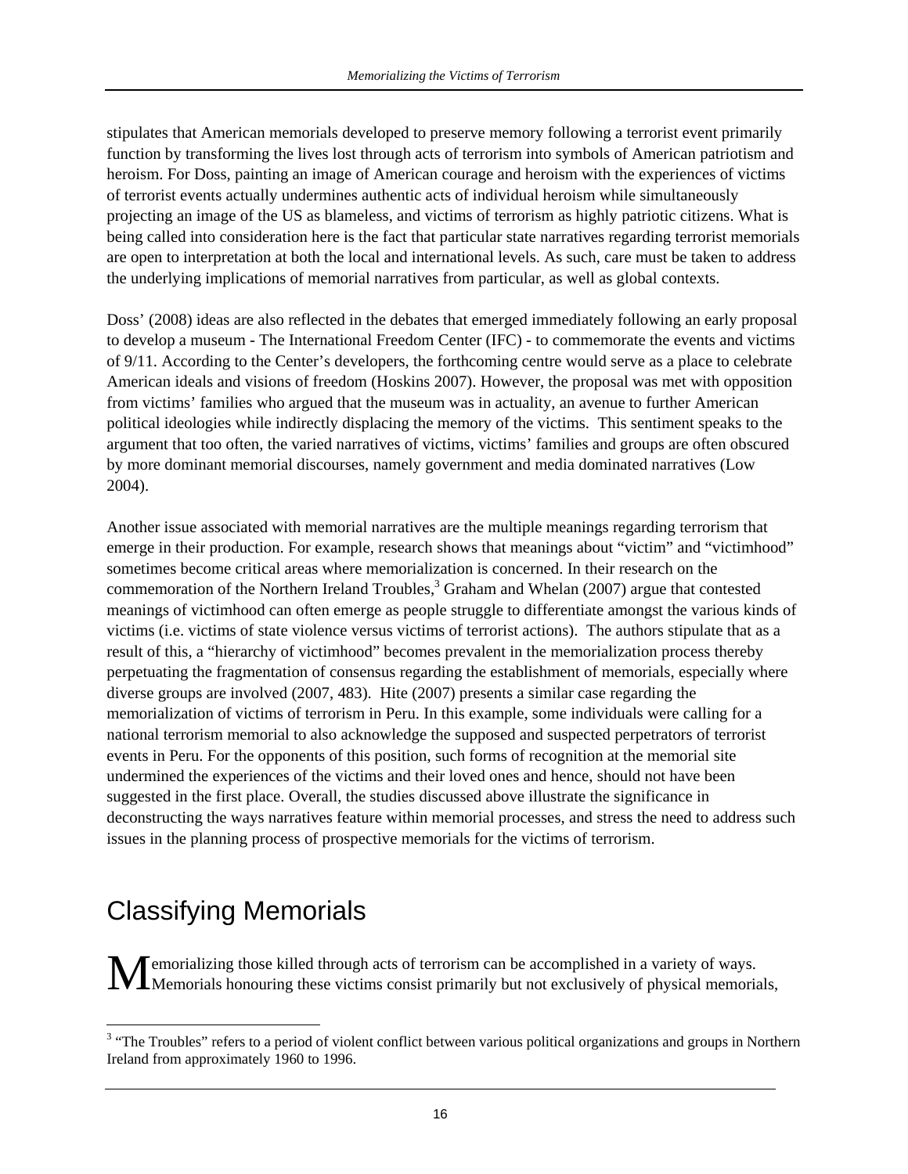stipulates that American memorials developed to preserve memory following a terrorist event primarily function by transforming the lives lost through acts of terrorism into symbols of American patriotism and heroism. For Doss, painting an image of American courage and heroism with the experiences of victims of terrorist events actually undermines authentic acts of individual heroism while simultaneously projecting an image of the US as blameless, and victims of terrorism as highly patriotic citizens. What is being called into consideration here is the fact that particular state narratives regarding terrorist memorials are open to interpretation at both the local and international levels. As such, care must be taken to address the underlying implications of memorial narratives from particular, as well as global contexts.

Doss' (2008) ideas are also reflected in the debates that emerged immediately following an early proposal to develop a museum - The International Freedom Center (IFC) - to commemorate the events and victims of 9/11. According to the Center's developers, the forthcoming centre would serve as a place to celebrate American ideals and visions of freedom (Hoskins 2007). However, the proposal was met with opposition from victims' families who argued that the museum was in actuality, an avenue to further American political ideologies while indirectly displacing the memory of the victims. This sentiment speaks to the argument that too often, the varied narratives of victims, victims' families and groups are often obscured by more dominant memorial discourses, namely government and media dominated narratives (Low 2004).

Another issue associated with memorial narratives are the multiple meanings regarding terrorism that emerge in their production. For example, research shows that meanings about "victim" and "victimhood" sometimes become critical areas where memorialization is concerned. In their research on the commemoration of the Northern Ireland Troubles, $3$  Graham and Whelan (2007) argue that contested meanings of victimhood can often emerge as people struggle to differentiate amongst the various kinds of victims (i.e. victims of state violence versus victims of terrorist actions). The authors stipulate that as a result of this, a "hierarchy of victimhood" becomes prevalent in the memorialization process thereby perpetuating the fragmentation of consensus regarding the establishment of memorials, especially where diverse groups are involved (2007, 483). Hite (2007) presents a similar case regarding the memorialization of victims of terrorism in Peru. In this example, some individuals were calling for a national terrorism memorial to also acknowledge the supposed and suspected perpetrators of terrorist events in Peru. For the opponents of this position, such forms of recognition at the memorial site undermined the experiences of the victims and their loved ones and hence, should not have been suggested in the first place. Overall, the studies discussed above illustrate the significance in deconstructing the ways narratives feature within memorial processes, and stress the need to address such issues in the planning process of prospective memorials for the victims of terrorism.

## Classifying Memorials

**M** emorializing those killed through acts of terrorism can be accomplished in a variety of ways.<br>Memorials honouring these victims consist primarily but not exclusively of physical memoria **I**Memorials honouring these victims consist primarily but not exclusively of physical memorials,

<sup>&</sup>lt;sup>3</sup> "The Troubles" refers to a period of violent conflict between various political organizations and groups in Northern Ireland from approximately 1960 to 1996.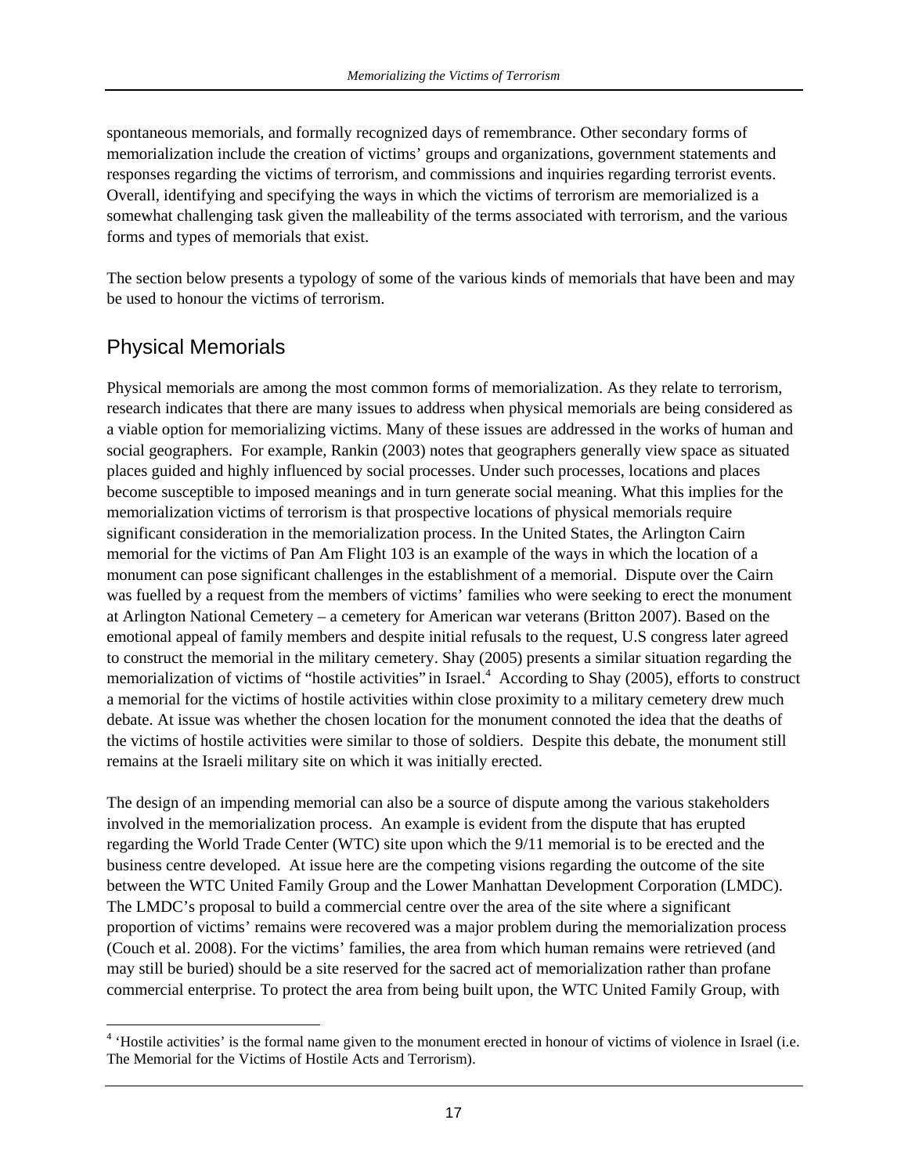spontaneous memorials, and formally recognized days of remembrance. Other secondary forms of memorialization include the creation of victims' groups and organizations, government statements and responses regarding the victims of terrorism, and commissions and inquiries regarding terrorist events. Overall, identifying and specifying the ways in which the victims of terrorism are memorialized is a somewhat challenging task given the malleability of the terms associated with terrorism, and the various forms and types of memorials that exist.

The section below presents a typology of some of the various kinds of memorials that have been and may be used to honour the victims of terrorism.

#### Physical Memorials

Physical memorials are among the most common forms of memorialization. As they relate to terrorism, research indicates that there are many issues to address when physical memorials are being considered as a viable option for memorializing victims. Many of these issues are addressed in the works of human and social geographers. For example, Rankin (2003) notes that geographers generally view space as situated places guided and highly influenced by social processes. Under such processes, locations and places become susceptible to imposed meanings and in turn generate social meaning. What this implies for the memorialization victims of terrorism is that prospective locations of physical memorials require significant consideration in the memorialization process. In the United States, the Arlington Cairn memorial for the victims of Pan Am Flight 103 is an example of the ways in which the location of a monument can pose significant challenges in the establishment of a memorial. Dispute over the Cairn was fuelled by a request from the members of victims' families who were seeking to erect the monument at Arlington National Cemetery – a cemetery for American war veterans (Britton 2007). Based on the emotional appeal of family members and despite initial refusals to the request, U.S congress later agreed to construct the memorial in the military cemetery. Shay (2005) presents a similar situation regarding the memorialization of victims of "hostile activities" in Israel.<sup>4</sup> According to Shay (2005), efforts to construct a memorial for the victims of hostile activities within close proximity to a military cemetery drew much debate. At issue was whether the chosen location for the monument connoted the idea that the deaths of the victims of hostile activities were similar to those of soldiers. Despite this debate, the monument still remains at the Israeli military site on which it was initially erected.

The design of an impending memorial can also be a source of dispute among the various stakeholders involved in the memorialization process. An example is evident from the dispute that has erupted regarding the World Trade Center (WTC) site upon which the 9/11 memorial is to be erected and the business centre developed. At issue here are the competing visions regarding the outcome of the site between the WTC United Family Group and the Lower Manhattan Development Corporation (LMDC). The LMDC's proposal to build a commercial centre over the area of the site where a significant proportion of victims' remains were recovered was a major problem during the memorialization process (Couch et al. 2008). For the victims' families, the area from which human remains were retrieved (and may still be buried) should be a site reserved for the sacred act of memorialization rather than profane commercial enterprise. To protect the area from being built upon, the WTC United Family Group, with

 4 'Hostile activities' is the formal name given to the monument erected in honour of victims of violence in Israel (i.e. The Memorial for the Victims of Hostile Acts and Terrorism).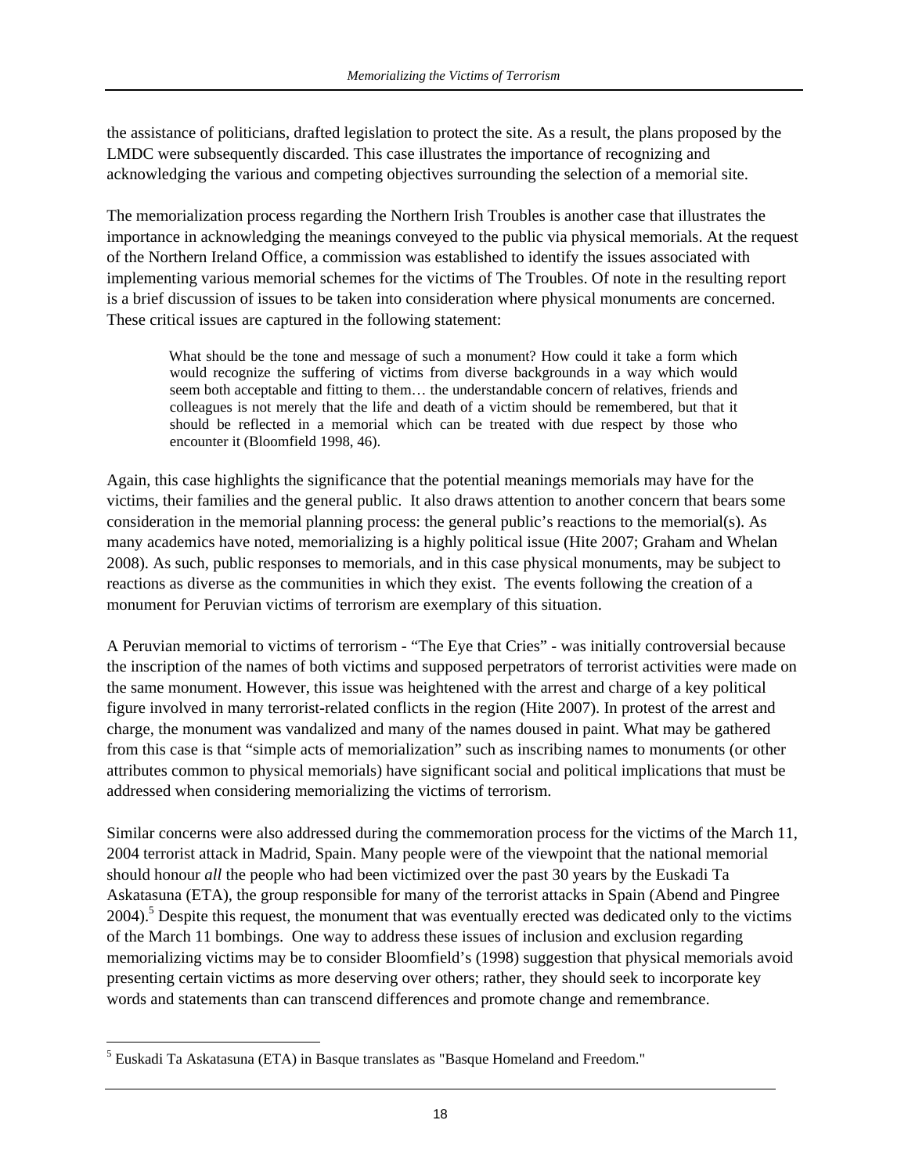the assistance of politicians, drafted legislation to protect the site. As a result, the plans proposed by the LMDC were subsequently discarded. This case illustrates the importance of recognizing and acknowledging the various and competing objectives surrounding the selection of a memorial site.

The memorialization process regarding the Northern Irish Troubles is another case that illustrates the importance in acknowledging the meanings conveyed to the public via physical memorials. At the request of the Northern Ireland Office, a commission was established to identify the issues associated with implementing various memorial schemes for the victims of The Troubles. Of note in the resulting report is a brief discussion of issues to be taken into consideration where physical monuments are concerned. These critical issues are captured in the following statement:

What should be the tone and message of such a monument? How could it take a form which would recognize the suffering of victims from diverse backgrounds in a way which would seem both acceptable and fitting to them… the understandable concern of relatives, friends and colleagues is not merely that the life and death of a victim should be remembered, but that it should be reflected in a memorial which can be treated with due respect by those who encounter it (Bloomfield 1998, 46).

Again, this case highlights the significance that the potential meanings memorials may have for the victims, their families and the general public. It also draws attention to another concern that bears some consideration in the memorial planning process: the general public's reactions to the memorial(s). As many academics have noted, memorializing is a highly political issue (Hite 2007; Graham and Whelan 2008). As such, public responses to memorials, and in this case physical monuments, may be subject to reactions as diverse as the communities in which they exist. The events following the creation of a monument for Peruvian victims of terrorism are exemplary of this situation.

A Peruvian memorial to victims of terrorism - "The Eye that Cries" - was initially controversial because the inscription of the names of both victims and supposed perpetrators of terrorist activities were made on the same monument. However, this issue was heightened with the arrest and charge of a key political figure involved in many terrorist-related conflicts in the region (Hite 2007). In protest of the arrest and charge, the monument was vandalized and many of the names doused in paint. What may be gathered from this case is that "simple acts of memorialization" such as inscribing names to monuments (or other attributes common to physical memorials) have significant social and political implications that must be addressed when considering memorializing the victims of terrorism.

Similar concerns were also addressed during the commemoration process for the victims of the March 11, 2004 terrorist attack in Madrid, Spain. Many people were of the viewpoint that the national memorial should honour *all* the people who had been victimized over the past 30 years by the Euskadi Ta Askatasuna (ETA), the group responsible for many of the terrorist attacks in Spain (Abend and Pingree 2004).<sup>5</sup> Despite this request, the monument that was eventually erected was dedicated only to the victims of the March 11 bombings. One way to address these issues of inclusion and exclusion regarding memorializing victims may be to consider Bloomfield's (1998) suggestion that physical memorials avoid presenting certain victims as more deserving over others; rather, they should seek to incorporate key words and statements than can transcend differences and promote change and remembrance.

 $\overline{a}$ 

<sup>&</sup>lt;sup>5</sup> Euskadi Ta Askatasuna (ETA) in Basque translates as "Basque Homeland and Freedom."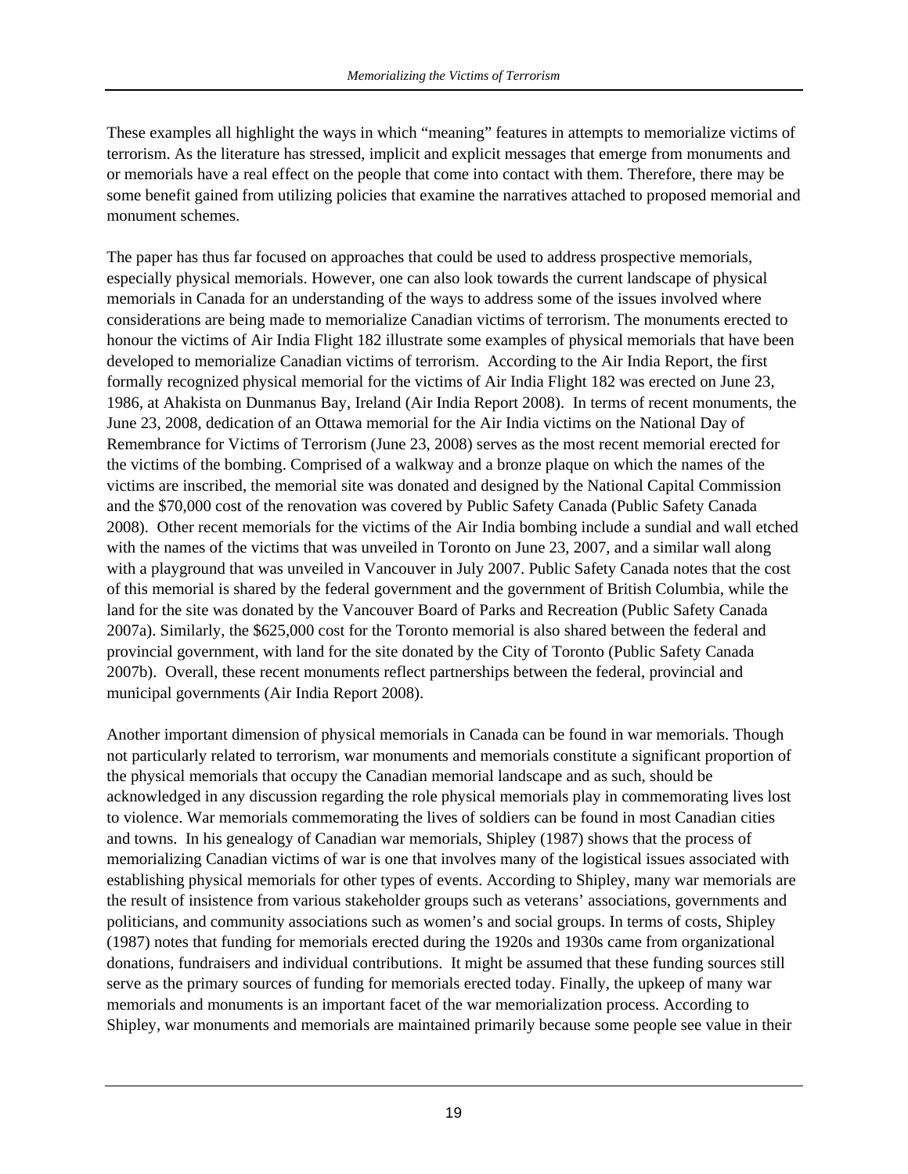These examples all highlight the ways in which "meaning" features in attempts to memorialize victims of terrorism. As the literature has stressed, implicit and explicit messages that emerge from monuments and or memorials have a real effect on the people that come into contact with them. Therefore, there may be some benefit gained from utilizing policies that examine the narratives attached to proposed memorial and monument schemes.

The paper has thus far focused on approaches that could be used to address prospective memorials, especially physical memorials. However, one can also look towards the current landscape of physical memorials in Canada for an understanding of the ways to address some of the issues involved where considerations are being made to memorialize Canadian victims of terrorism. The monuments erected to honour the victims of Air India Flight 182 illustrate some examples of physical memorials that have been developed to memorialize Canadian victims of terrorism. According to the Air India Report, the first formally recognized physical memorial for the victims of Air India Flight 182 was erected on June 23, 1986, at Ahakista on Dunmanus Bay, Ireland (Air India Report 2008). In terms of recent monuments, the June 23, 2008, dedication of an Ottawa memorial for the Air India victims on the National Day of Remembrance for Victims of Terrorism (June 23, 2008) serves as the most recent memorial erected for the victims of the bombing. Comprised of a walkway and a bronze plaque on which the names of the victims are inscribed, the memorial site was donated and designed by the National Capital Commission and the \$70,000 cost of the renovation was covered by Public Safety Canada (Public Safety Canada 2008). Other recent memorials for the victims of the Air India bombing include a sundial and wall etched with the names of the victims that was unveiled in Toronto on June 23, 2007, and a similar wall along with a playground that was unveiled in Vancouver in July 2007. Public Safety Canada notes that the cost of this memorial is shared by the federal government and the government of British Columbia, while the land for the site was donated by the Vancouver Board of Parks and Recreation (Public Safety Canada 2007a). Similarly, the \$625,000 cost for the Toronto memorial is also shared between the federal and provincial government, with land for the site donated by the City of Toronto (Public Safety Canada 2007b). Overall, these recent monuments reflect partnerships between the federal, provincial and municipal governments (Air India Report 2008).

Another important dimension of physical memorials in Canada can be found in war memorials. Though not particularly related to terrorism, war monuments and memorials constitute a significant proportion of the physical memorials that occupy the Canadian memorial landscape and as such, should be acknowledged in any discussion regarding the role physical memorials play in commemorating lives lost to violence. War memorials commemorating the lives of soldiers can be found in most Canadian cities and towns. In his genealogy of Canadian war memorials, Shipley (1987) shows that the process of memorializing Canadian victims of war is one that involves many of the logistical issues associated with establishing physical memorials for other types of events. According to Shipley, many war memorials are the result of insistence from various stakeholder groups such as veterans' associations, governments and politicians, and community associations such as women's and social groups. In terms of costs, Shipley (1987) notes that funding for memorials erected during the 1920s and 1930s came from organizational donations, fundraisers and individual contributions. It might be assumed that these funding sources still serve as the primary sources of funding for memorials erected today. Finally, the upkeep of many war memorials and monuments is an important facet of the war memorialization process. According to Shipley, war monuments and memorials are maintained primarily because some people see value in their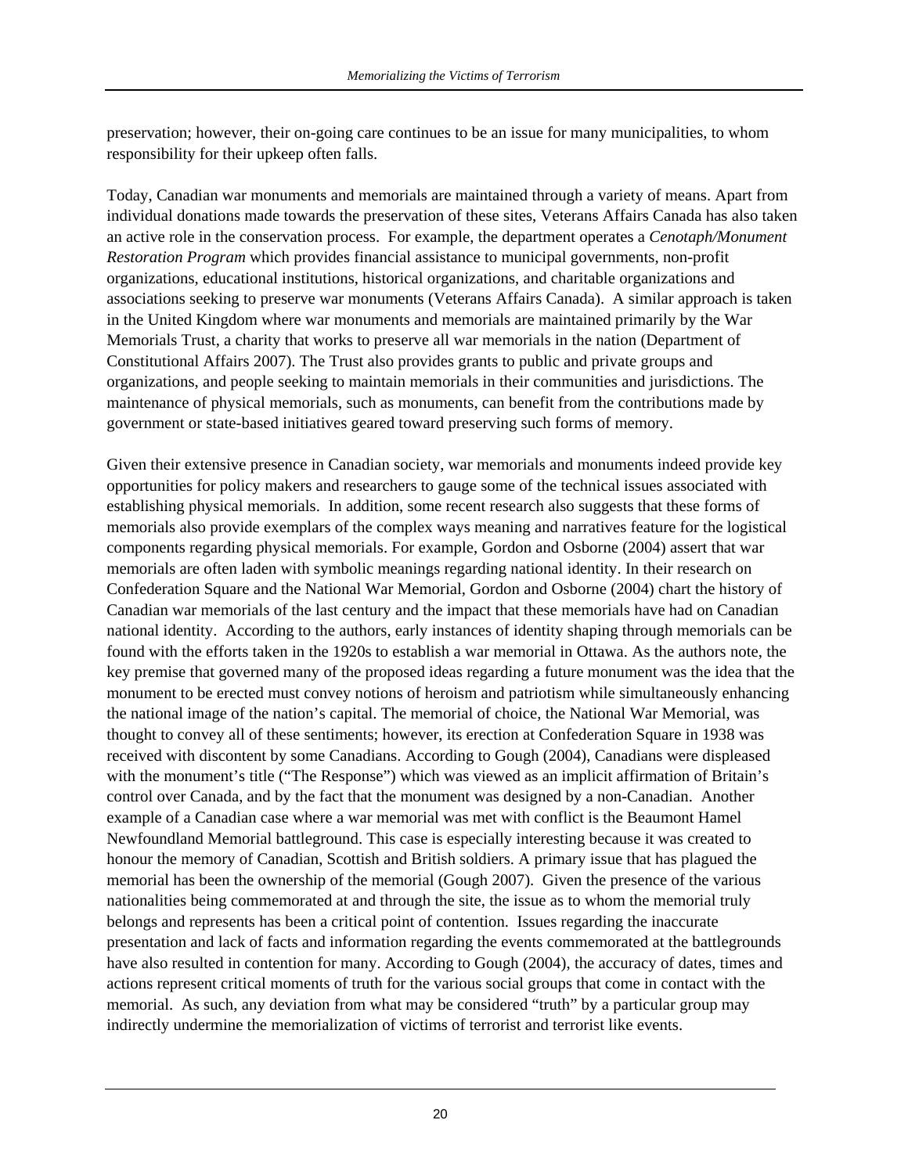preservation; however, their on-going care continues to be an issue for many municipalities, to whom responsibility for their upkeep often falls.

Today, Canadian war monuments and memorials are maintained through a variety of means. Apart from individual donations made towards the preservation of these sites, Veterans Affairs Canada has also taken an active role in the conservation process. For example, the department operates a *Cenotaph/Monument Restoration Program* which provides financial assistance to municipal governments, non-profit organizations, educational institutions, historical organizations, and charitable organizations and associations seeking to preserve war monuments (Veterans Affairs Canada). A similar approach is taken in the United Kingdom where war monuments and memorials are maintained primarily by the War Memorials Trust, a charity that works to preserve all war memorials in the nation (Department of Constitutional Affairs 2007). The Trust also provides grants to public and private groups and organizations, and people seeking to maintain memorials in their communities and jurisdictions. The maintenance of physical memorials, such as monuments, can benefit from the contributions made by government or state-based initiatives geared toward preserving such forms of memory.

Given their extensive presence in Canadian society, war memorials and monuments indeed provide key opportunities for policy makers and researchers to gauge some of the technical issues associated with establishing physical memorials. In addition, some recent research also suggests that these forms of memorials also provide exemplars of the complex ways meaning and narratives feature for the logistical components regarding physical memorials. For example, Gordon and Osborne (2004) assert that war memorials are often laden with symbolic meanings regarding national identity. In their research on Confederation Square and the National War Memorial, Gordon and Osborne (2004) chart the history of Canadian war memorials of the last century and the impact that these memorials have had on Canadian national identity. According to the authors, early instances of identity shaping through memorials can be found with the efforts taken in the 1920s to establish a war memorial in Ottawa. As the authors note, the key premise that governed many of the proposed ideas regarding a future monument was the idea that the monument to be erected must convey notions of heroism and patriotism while simultaneously enhancing the national image of the nation's capital. The memorial of choice, the National War Memorial, was thought to convey all of these sentiments; however, its erection at Confederation Square in 1938 was received with discontent by some Canadians. According to Gough (2004), Canadians were displeased with the monument's title ("The Response") which was viewed as an implicit affirmation of Britain's control over Canada, and by the fact that the monument was designed by a non-Canadian. Another example of a Canadian case where a war memorial was met with conflict is the Beaumont Hamel Newfoundland Memorial battleground. This case is especially interesting because it was created to honour the memory of Canadian, Scottish and British soldiers. A primary issue that has plagued the memorial has been the ownership of the memorial (Gough 2007). Given the presence of the various nationalities being commemorated at and through the site, the issue as to whom the memorial truly belongs and represents has been a critical point of contention. Issues regarding the inaccurate presentation and lack of facts and information regarding the events commemorated at the battlegrounds have also resulted in contention for many. According to Gough (2004), the accuracy of dates, times and actions represent critical moments of truth for the various social groups that come in contact with the memorial. As such, any deviation from what may be considered "truth" by a particular group may indirectly undermine the memorialization of victims of terrorist and terrorist like events.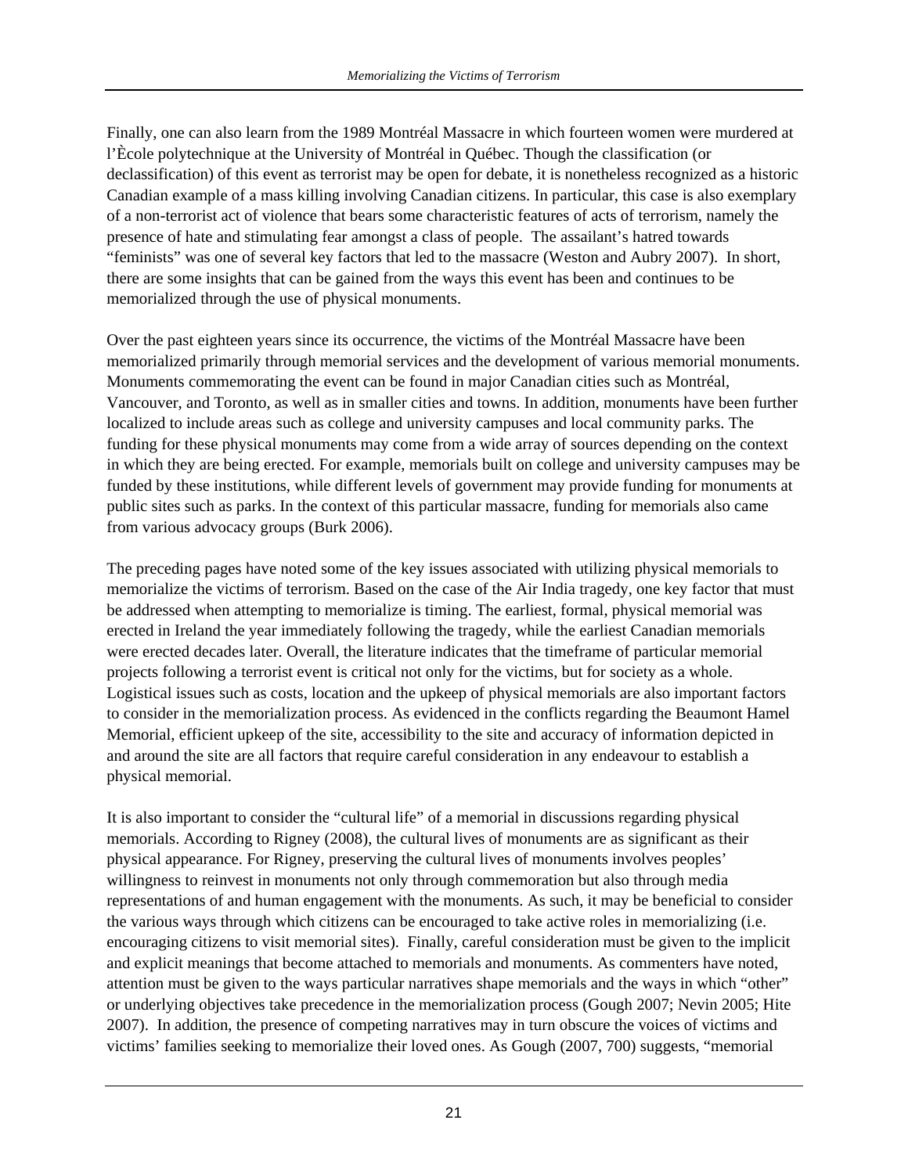Finally, one can also learn from the 1989 Montréal Massacre in which fourteen women were murdered at l'Ècole polytechnique at the University of Montréal in Québec. Though the classification (or declassification) of this event as terrorist may be open for debate, it is nonetheless recognized as a historic Canadian example of a mass killing involving Canadian citizens. In particular, this case is also exemplary of a non-terrorist act of violence that bears some characteristic features of acts of terrorism, namely the presence of hate and stimulating fear amongst a class of people. The assailant's hatred towards "feminists" was one of several key factors that led to the massacre (Weston and Aubry 2007). In short, there are some insights that can be gained from the ways this event has been and continues to be memorialized through the use of physical monuments.

Over the past eighteen years since its occurrence, the victims of the Montréal Massacre have been memorialized primarily through memorial services and the development of various memorial monuments. Monuments commemorating the event can be found in major Canadian cities such as Montréal, Vancouver, and Toronto, as well as in smaller cities and towns. In addition, monuments have been further localized to include areas such as college and university campuses and local community parks. The funding for these physical monuments may come from a wide array of sources depending on the context in which they are being erected. For example, memorials built on college and university campuses may be funded by these institutions, while different levels of government may provide funding for monuments at public sites such as parks. In the context of this particular massacre, funding for memorials also came from various advocacy groups (Burk 2006).

The preceding pages have noted some of the key issues associated with utilizing physical memorials to memorialize the victims of terrorism. Based on the case of the Air India tragedy, one key factor that must be addressed when attempting to memorialize is timing. The earliest, formal, physical memorial was erected in Ireland the year immediately following the tragedy, while the earliest Canadian memorials were erected decades later. Overall, the literature indicates that the timeframe of particular memorial projects following a terrorist event is critical not only for the victims, but for society as a whole. Logistical issues such as costs, location and the upkeep of physical memorials are also important factors to consider in the memorialization process. As evidenced in the conflicts regarding the Beaumont Hamel Memorial, efficient upkeep of the site, accessibility to the site and accuracy of information depicted in and around the site are all factors that require careful consideration in any endeavour to establish a physical memorial.

It is also important to consider the "cultural life" of a memorial in discussions regarding physical memorials. According to Rigney (2008), the cultural lives of monuments are as significant as their physical appearance. For Rigney, preserving the cultural lives of monuments involves peoples' willingness to reinvest in monuments not only through commemoration but also through media representations of and human engagement with the monuments. As such, it may be beneficial to consider the various ways through which citizens can be encouraged to take active roles in memorializing (i.e. encouraging citizens to visit memorial sites). Finally, careful consideration must be given to the implicit and explicit meanings that become attached to memorials and monuments. As commenters have noted, attention must be given to the ways particular narratives shape memorials and the ways in which "other" or underlying objectives take precedence in the memorialization process (Gough 2007; Nevin 2005; Hite 2007). In addition, the presence of competing narratives may in turn obscure the voices of victims and victims' families seeking to memorialize their loved ones. As Gough (2007, 700) suggests, "memorial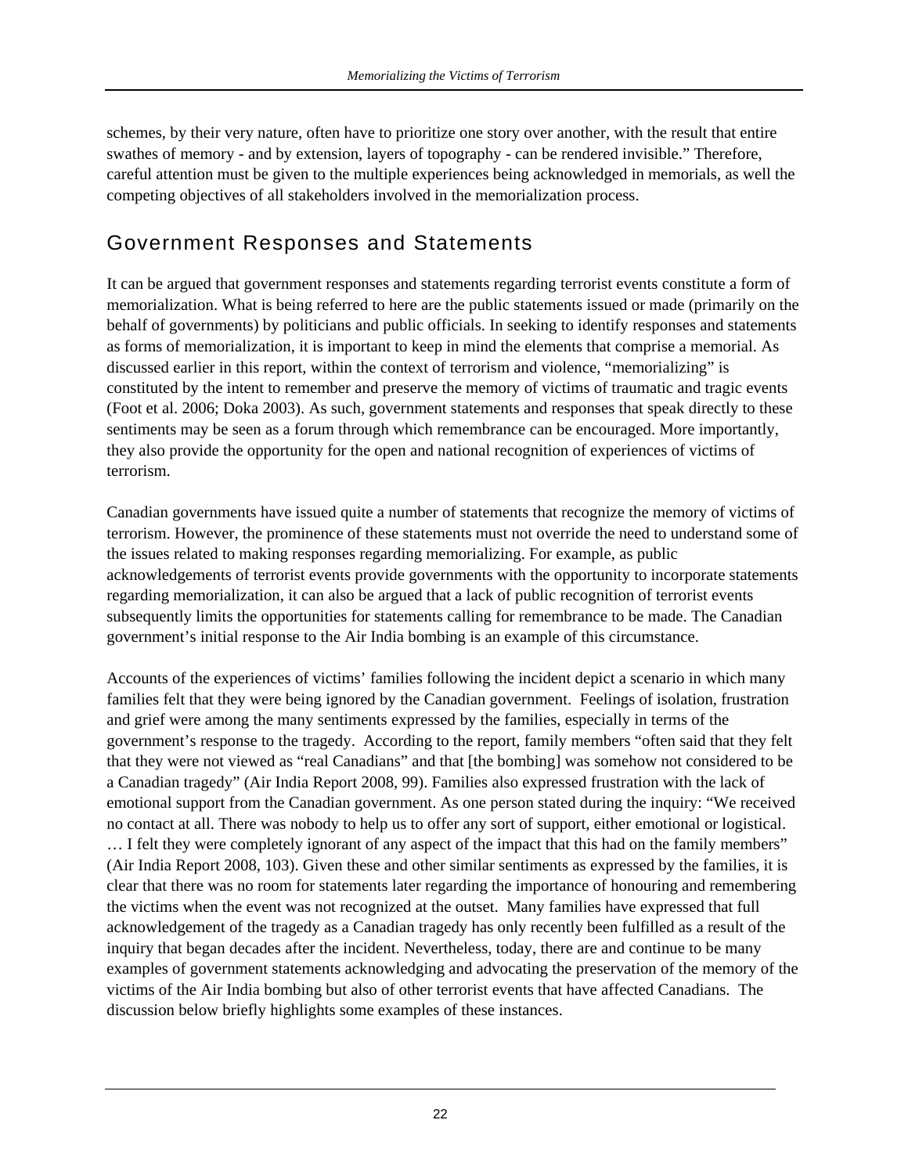schemes, by their very nature, often have to prioritize one story over another, with the result that entire swathes of memory - and by extension, layers of topography - can be rendered invisible." Therefore, careful attention must be given to the multiple experiences being acknowledged in memorials, as well the competing objectives of all stakeholders involved in the memorialization process.

#### Government Responses and Statements

It can be argued that government responses and statements regarding terrorist events constitute a form of memorialization. What is being referred to here are the public statements issued or made (primarily on the behalf of governments) by politicians and public officials. In seeking to identify responses and statements as forms of memorialization, it is important to keep in mind the elements that comprise a memorial. As discussed earlier in this report, within the context of terrorism and violence, "memorializing" is constituted by the intent to remember and preserve the memory of victims of traumatic and tragic events (Foot et al. 2006; Doka 2003). As such, government statements and responses that speak directly to these sentiments may be seen as a forum through which remembrance can be encouraged. More importantly, they also provide the opportunity for the open and national recognition of experiences of victims of terrorism.

Canadian governments have issued quite a number of statements that recognize the memory of victims of terrorism. However, the prominence of these statements must not override the need to understand some of the issues related to making responses regarding memorializing. For example, as public acknowledgements of terrorist events provide governments with the opportunity to incorporate statements regarding memorialization, it can also be argued that a lack of public recognition of terrorist events subsequently limits the opportunities for statements calling for remembrance to be made. The Canadian government's initial response to the Air India bombing is an example of this circumstance.

Accounts of the experiences of victims' families following the incident depict a scenario in which many families felt that they were being ignored by the Canadian government. Feelings of isolation, frustration and grief were among the many sentiments expressed by the families, especially in terms of the government's response to the tragedy. According to the report, family members "often said that they felt that they were not viewed as "real Canadians" and that [the bombing] was somehow not considered to be a Canadian tragedy" (Air India Report 2008, 99). Families also expressed frustration with the lack of emotional support from the Canadian government. As one person stated during the inquiry: "We received no contact at all. There was nobody to help us to offer any sort of support, either emotional or logistical. … I felt they were completely ignorant of any aspect of the impact that this had on the family members" (Air India Report 2008, 103). Given these and other similar sentiments as expressed by the families, it is clear that there was no room for statements later regarding the importance of honouring and remembering the victims when the event was not recognized at the outset. Many families have expressed that full acknowledgement of the tragedy as a Canadian tragedy has only recently been fulfilled as a result of the inquiry that began decades after the incident. Nevertheless, today, there are and continue to be many examples of government statements acknowledging and advocating the preservation of the memory of the victims of the Air India bombing but also of other terrorist events that have affected Canadians. The discussion below briefly highlights some examples of these instances.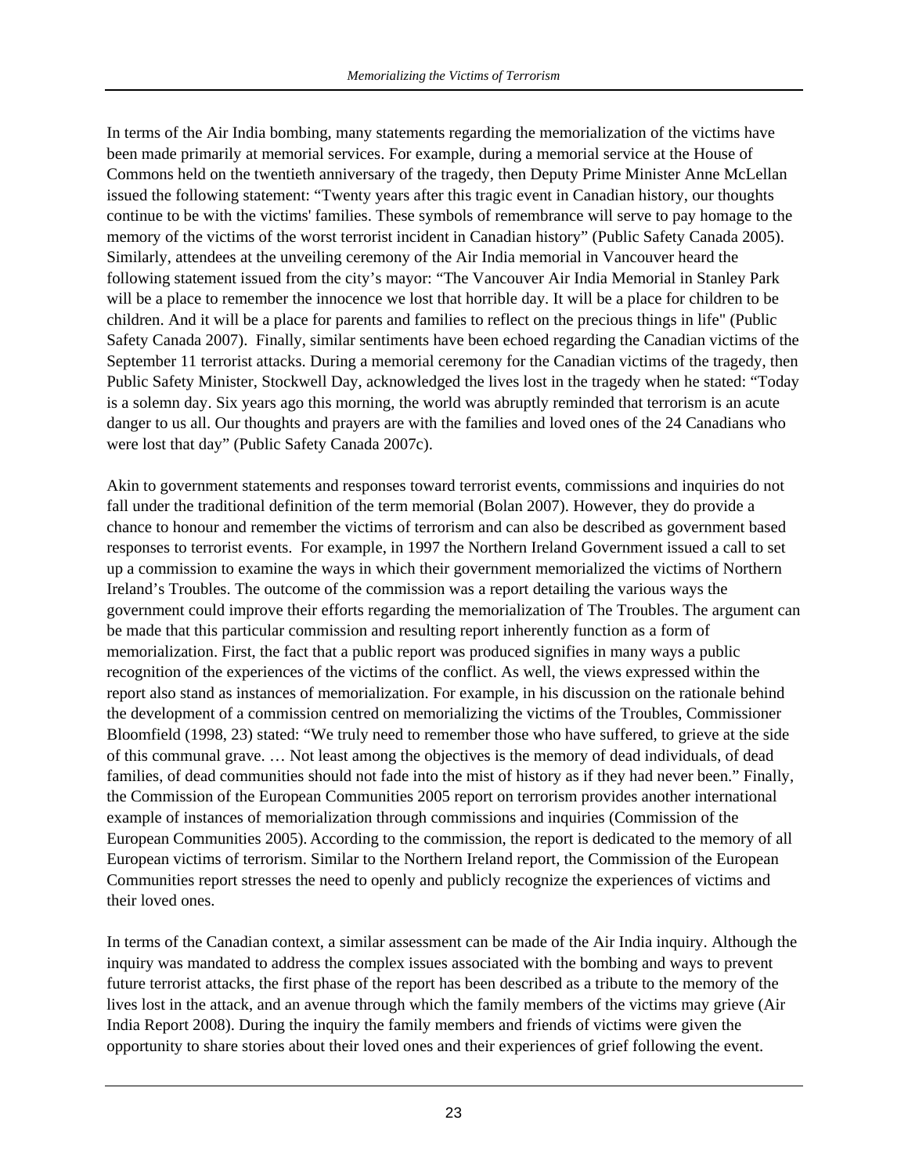In terms of the Air India bombing, many statements regarding the memorialization of the victims have been made primarily at memorial services. For example, during a memorial service at the House of Commons held on the twentieth anniversary of the tragedy, then Deputy Prime Minister Anne McLellan issued the following statement: "Twenty years after this tragic event in Canadian history, our thoughts continue to be with the victims' families. These symbols of remembrance will serve to pay homage to the memory of the victims of the worst terrorist incident in Canadian history" (Public Safety Canada 2005). Similarly, attendees at the unveiling ceremony of the Air India memorial in Vancouver heard the following statement issued from the city's mayor: "The Vancouver Air India Memorial in Stanley Park will be a place to remember the innocence we lost that horrible day. It will be a place for children to be children. And it will be a place for parents and families to reflect on the precious things in life" (Public Safety Canada 2007). Finally, similar sentiments have been echoed regarding the Canadian victims of the September 11 terrorist attacks. During a memorial ceremony for the Canadian victims of the tragedy, then Public Safety Minister, Stockwell Day, acknowledged the lives lost in the tragedy when he stated: "Today is a solemn day. Six years ago this morning, the world was abruptly reminded that terrorism is an acute danger to us all. Our thoughts and prayers are with the families and loved ones of the 24 Canadians who were lost that day" (Public Safety Canada 2007c).

Akin to government statements and responses toward terrorist events, commissions and inquiries do not fall under the traditional definition of the term memorial (Bolan 2007). However, they do provide a chance to honour and remember the victims of terrorism and can also be described as government based responses to terrorist events. For example, in 1997 the Northern Ireland Government issued a call to set up a commission to examine the ways in which their government memorialized the victims of Northern Ireland's Troubles. The outcome of the commission was a report detailing the various ways the government could improve their efforts regarding the memorialization of The Troubles. The argument can be made that this particular commission and resulting report inherently function as a form of memorialization. First, the fact that a public report was produced signifies in many ways a public recognition of the experiences of the victims of the conflict. As well, the views expressed within the report also stand as instances of memorialization. For example, in his discussion on the rationale behind the development of a commission centred on memorializing the victims of the Troubles, Commissioner Bloomfield (1998, 23) stated: "We truly need to remember those who have suffered, to grieve at the side of this communal grave. … Not least among the objectives is the memory of dead individuals, of dead families, of dead communities should not fade into the mist of history as if they had never been." Finally, the Commission of the European Communities 2005 report on terrorism provides another international example of instances of memorialization through commissions and inquiries (Commission of the European Communities 2005). According to the commission, the report is dedicated to the memory of all European victims of terrorism. Similar to the Northern Ireland report, the Commission of the European Communities report stresses the need to openly and publicly recognize the experiences of victims and their loved ones.

In terms of the Canadian context, a similar assessment can be made of the Air India inquiry. Although the inquiry was mandated to address the complex issues associated with the bombing and ways to prevent future terrorist attacks, the first phase of the report has been described as a tribute to the memory of the lives lost in the attack, and an avenue through which the family members of the victims may grieve (Air India Report 2008). During the inquiry the family members and friends of victims were given the opportunity to share stories about their loved ones and their experiences of grief following the event.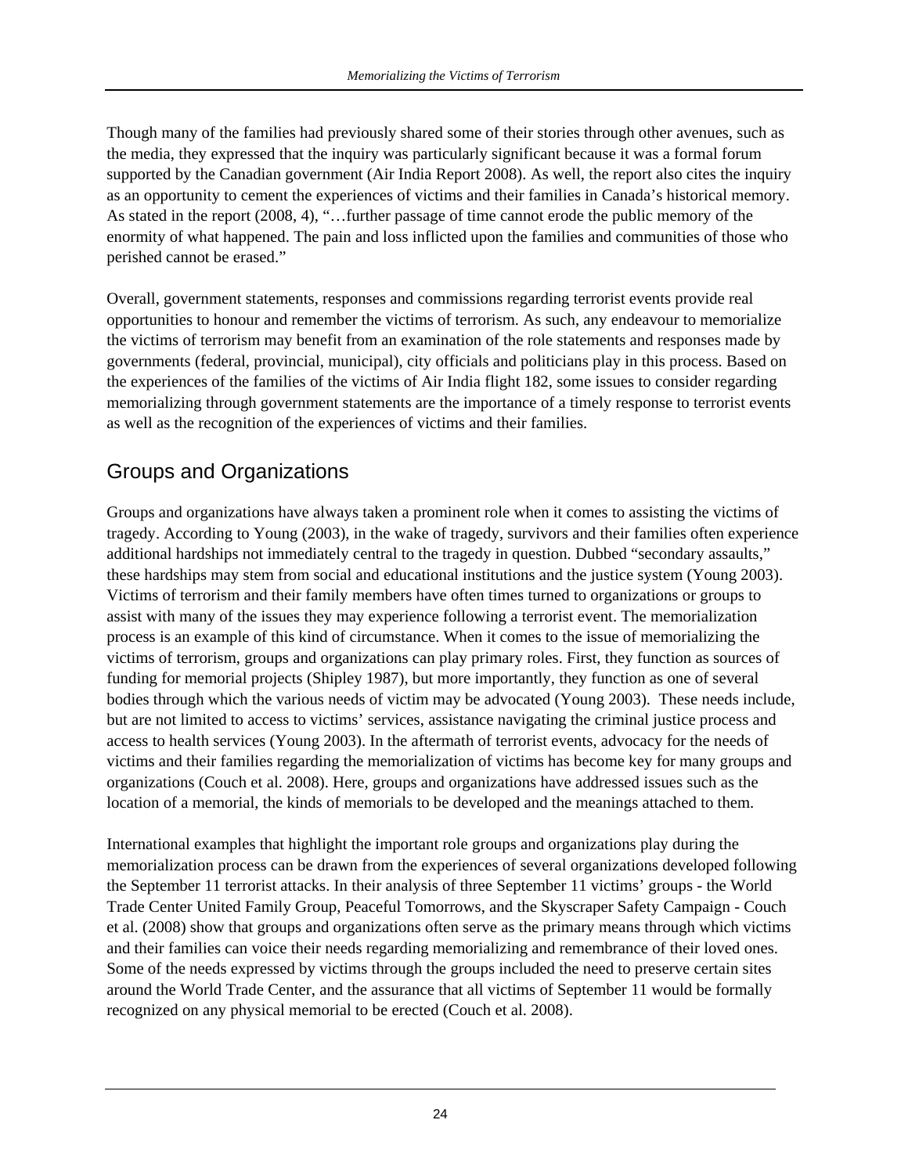Though many of the families had previously shared some of their stories through other avenues, such as the media, they expressed that the inquiry was particularly significant because it was a formal forum supported by the Canadian government (Air India Report 2008). As well, the report also cites the inquiry as an opportunity to cement the experiences of victims and their families in Canada's historical memory. As stated in the report (2008, 4), "…further passage of time cannot erode the public memory of the enormity of what happened. The pain and loss inflicted upon the families and communities of those who perished cannot be erased."

Overall, government statements, responses and commissions regarding terrorist events provide real opportunities to honour and remember the victims of terrorism. As such, any endeavour to memorialize the victims of terrorism may benefit from an examination of the role statements and responses made by governments (federal, provincial, municipal), city officials and politicians play in this process. Based on the experiences of the families of the victims of Air India flight 182, some issues to consider regarding memorializing through government statements are the importance of a timely response to terrorist events as well as the recognition of the experiences of victims and their families.

### Groups and Organizations

Groups and organizations have always taken a prominent role when it comes to assisting the victims of tragedy. According to Young (2003), in the wake of tragedy, survivors and their families often experience additional hardships not immediately central to the tragedy in question. Dubbed "secondary assaults," these hardships may stem from social and educational institutions and the justice system (Young 2003). Victims of terrorism and their family members have often times turned to organizations or groups to assist with many of the issues they may experience following a terrorist event. The memorialization process is an example of this kind of circumstance. When it comes to the issue of memorializing the victims of terrorism, groups and organizations can play primary roles. First, they function as sources of funding for memorial projects (Shipley 1987), but more importantly, they function as one of several bodies through which the various needs of victim may be advocated (Young 2003). These needs include, but are not limited to access to victims' services, assistance navigating the criminal justice process and access to health services (Young 2003). In the aftermath of terrorist events, advocacy for the needs of victims and their families regarding the memorialization of victims has become key for many groups and organizations (Couch et al. 2008). Here, groups and organizations have addressed issues such as the location of a memorial, the kinds of memorials to be developed and the meanings attached to them.

International examples that highlight the important role groups and organizations play during the memorialization process can be drawn from the experiences of several organizations developed following the September 11 terrorist attacks. In their analysis of three September 11 victims' groups - the World Trade Center United Family Group, Peaceful Tomorrows, and the Skyscraper Safety Campaign - Couch et al. (2008) show that groups and organizations often serve as the primary means through which victims and their families can voice their needs regarding memorializing and remembrance of their loved ones. Some of the needs expressed by victims through the groups included the need to preserve certain sites around the World Trade Center, and the assurance that all victims of September 11 would be formally recognized on any physical memorial to be erected (Couch et al. 2008).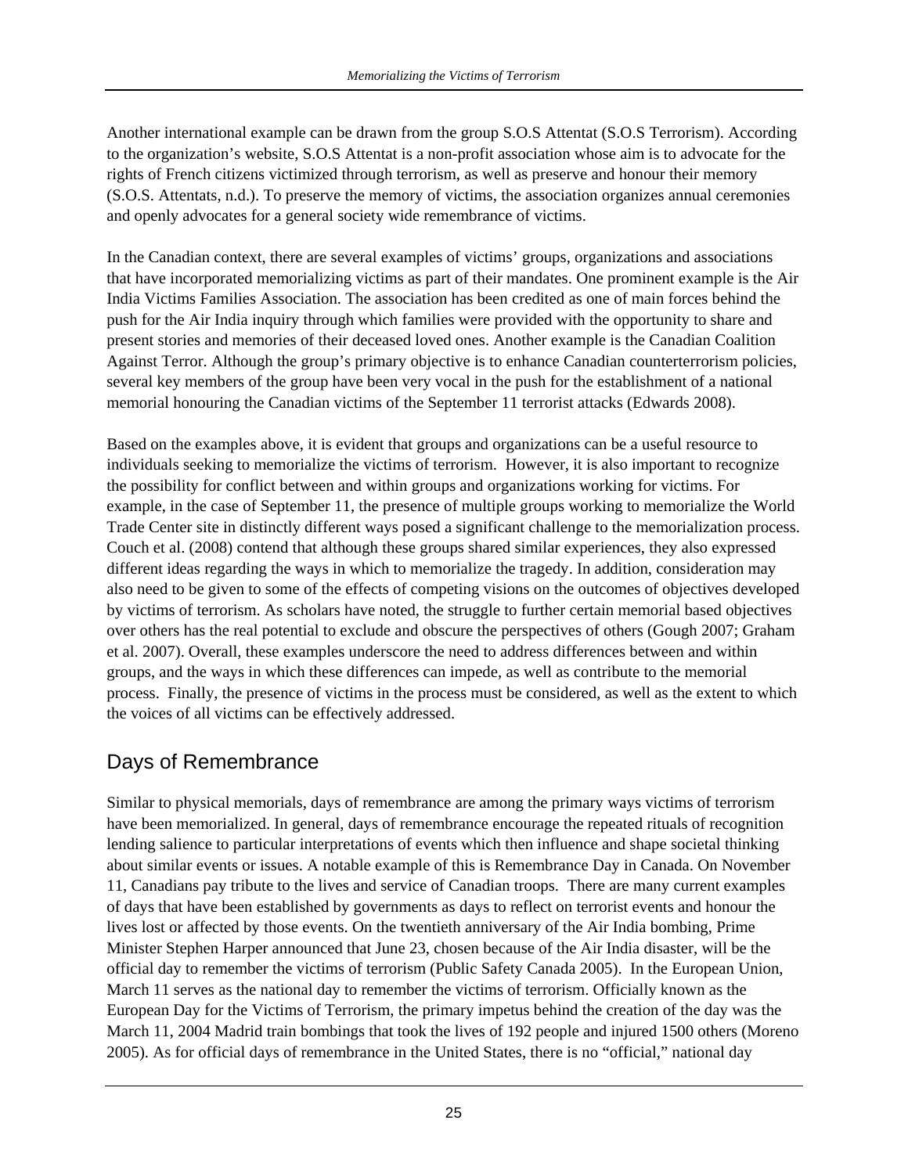Another international example can be drawn from the group S.O.S Attentat (S.O.S Terrorism). According to the organization's website, S.O.S Attentat is a non-profit association whose aim is to advocate for the rights of French citizens victimized through terrorism, as well as preserve and honour their memory (S.O.S. Attentats, n.d.). To preserve the memory of victims, the association organizes annual ceremonies and openly advocates for a general society wide remembrance of victims.

In the Canadian context, there are several examples of victims' groups, organizations and associations that have incorporated memorializing victims as part of their mandates. One prominent example is the Air India Victims Families Association. The association has been credited as one of main forces behind the push for the Air India inquiry through which families were provided with the opportunity to share and present stories and memories of their deceased loved ones. Another example is the Canadian Coalition Against Terror. Although the group's primary objective is to enhance Canadian counterterrorism policies, several key members of the group have been very vocal in the push for the establishment of a national memorial honouring the Canadian victims of the September 11 terrorist attacks (Edwards 2008).

Based on the examples above, it is evident that groups and organizations can be a useful resource to individuals seeking to memorialize the victims of terrorism. However, it is also important to recognize the possibility for conflict between and within groups and organizations working for victims. For example, in the case of September 11, the presence of multiple groups working to memorialize the World Trade Center site in distinctly different ways posed a significant challenge to the memorialization process. Couch et al. (2008) contend that although these groups shared similar experiences, they also expressed different ideas regarding the ways in which to memorialize the tragedy. In addition, consideration may also need to be given to some of the effects of competing visions on the outcomes of objectives developed by victims of terrorism. As scholars have noted, the struggle to further certain memorial based objectives over others has the real potential to exclude and obscure the perspectives of others (Gough 2007; Graham et al. 2007). Overall, these examples underscore the need to address differences between and within groups, and the ways in which these differences can impede, as well as contribute to the memorial process. Finally, the presence of victims in the process must be considered, as well as the extent to which the voices of all victims can be effectively addressed.

#### Days of Remembrance

Similar to physical memorials, days of remembrance are among the primary ways victims of terrorism have been memorialized. In general, days of remembrance encourage the repeated rituals of recognition lending salience to particular interpretations of events which then influence and shape societal thinking about similar events or issues. A notable example of this is Remembrance Day in Canada. On November 11, Canadians pay tribute to the lives and service of Canadian troops. There are many current examples of days that have been established by governments as days to reflect on terrorist events and honour the lives lost or affected by those events. On the twentieth anniversary of the Air India bombing, Prime Minister Stephen Harper announced that June 23, chosen because of the Air India disaster, will be the official day to remember the victims of terrorism (Public Safety Canada 2005). In the European Union, March 11 serves as the national day to remember the victims of terrorism. Officially known as the European Day for the Victims of Terrorism, the primary impetus behind the creation of the day was the March 11, 2004 Madrid train bombings that took the lives of 192 people and injured 1500 others (Moreno 2005). As for official days of remembrance in the United States, there is no "official," national day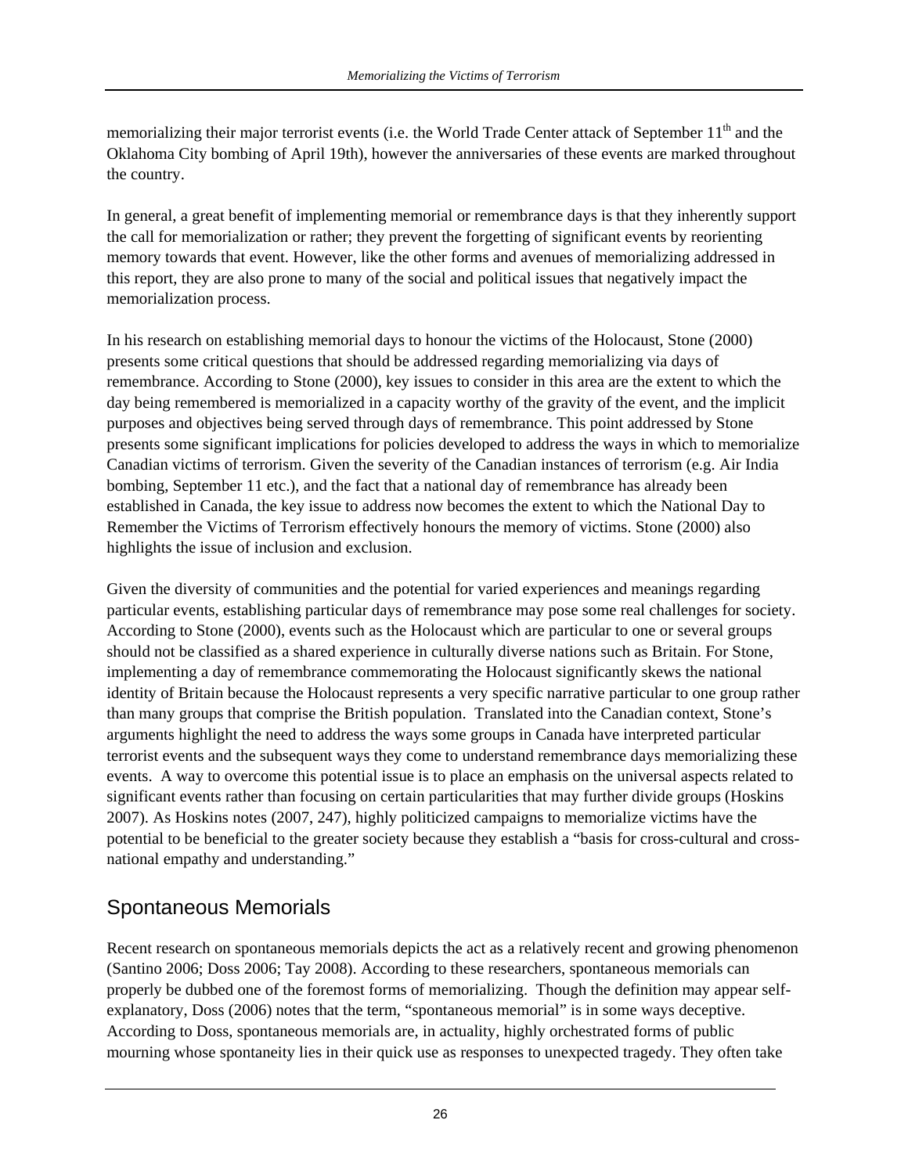memorializing their major terrorist events (i.e. the World Trade Center attack of September  $11<sup>th</sup>$  and the Oklahoma City bombing of April 19th), however the anniversaries of these events are marked throughout the country.

In general, a great benefit of implementing memorial or remembrance days is that they inherently support the call for memorialization or rather; they prevent the forgetting of significant events by reorienting memory towards that event. However, like the other forms and avenues of memorializing addressed in this report, they are also prone to many of the social and political issues that negatively impact the memorialization process.

In his research on establishing memorial days to honour the victims of the Holocaust, Stone (2000) presents some critical questions that should be addressed regarding memorializing via days of remembrance. According to Stone (2000), key issues to consider in this area are the extent to which the day being remembered is memorialized in a capacity worthy of the gravity of the event, and the implicit purposes and objectives being served through days of remembrance. This point addressed by Stone presents some significant implications for policies developed to address the ways in which to memorialize Canadian victims of terrorism. Given the severity of the Canadian instances of terrorism (e.g. Air India bombing, September 11 etc.), and the fact that a national day of remembrance has already been established in Canada, the key issue to address now becomes the extent to which the National Day to Remember the Victims of Terrorism effectively honours the memory of victims. Stone (2000) also highlights the issue of inclusion and exclusion.

Given the diversity of communities and the potential for varied experiences and meanings regarding particular events, establishing particular days of remembrance may pose some real challenges for society. According to Stone (2000), events such as the Holocaust which are particular to one or several groups should not be classified as a shared experience in culturally diverse nations such as Britain. For Stone, implementing a day of remembrance commemorating the Holocaust significantly skews the national identity of Britain because the Holocaust represents a very specific narrative particular to one group rather than many groups that comprise the British population. Translated into the Canadian context, Stone's arguments highlight the need to address the ways some groups in Canada have interpreted particular terrorist events and the subsequent ways they come to understand remembrance days memorializing these events. A way to overcome this potential issue is to place an emphasis on the universal aspects related to significant events rather than focusing on certain particularities that may further divide groups (Hoskins 2007). As Hoskins notes (2007, 247), highly politicized campaigns to memorialize victims have the potential to be beneficial to the greater society because they establish a "basis for cross-cultural and crossnational empathy and understanding."

#### Spontaneous Memorials

Recent research on spontaneous memorials depicts the act as a relatively recent and growing phenomenon (Santino 2006; Doss 2006; Tay 2008). According to these researchers, spontaneous memorials can properly be dubbed one of the foremost forms of memorializing. Though the definition may appear selfexplanatory, Doss (2006) notes that the term, "spontaneous memorial" is in some ways deceptive. According to Doss, spontaneous memorials are, in actuality, highly orchestrated forms of public mourning whose spontaneity lies in their quick use as responses to unexpected tragedy. They often take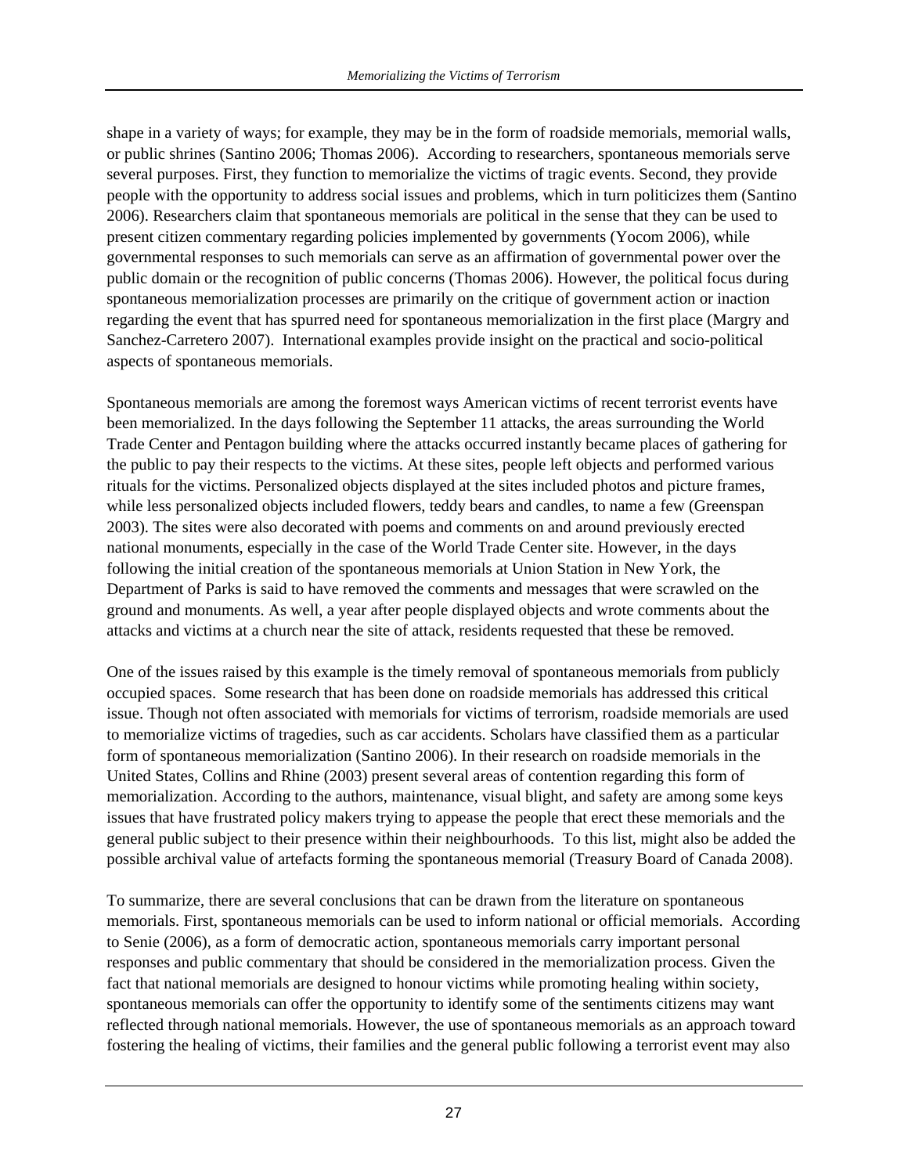shape in a variety of ways; for example, they may be in the form of roadside memorials, memorial walls, or public shrines (Santino 2006; Thomas 2006). According to researchers, spontaneous memorials serve several purposes. First, they function to memorialize the victims of tragic events. Second, they provide people with the opportunity to address social issues and problems, which in turn politicizes them (Santino 2006). Researchers claim that spontaneous memorials are political in the sense that they can be used to present citizen commentary regarding policies implemented by governments (Yocom 2006), while governmental responses to such memorials can serve as an affirmation of governmental power over the public domain or the recognition of public concerns (Thomas 2006). However, the political focus during spontaneous memorialization processes are primarily on the critique of government action or inaction regarding the event that has spurred need for spontaneous memorialization in the first place (Margry and Sanchez-Carretero 2007). International examples provide insight on the practical and socio-political aspects of spontaneous memorials.

Spontaneous memorials are among the foremost ways American victims of recent terrorist events have been memorialized. In the days following the September 11 attacks, the areas surrounding the World Trade Center and Pentagon building where the attacks occurred instantly became places of gathering for the public to pay their respects to the victims. At these sites, people left objects and performed various rituals for the victims. Personalized objects displayed at the sites included photos and picture frames, while less personalized objects included flowers, teddy bears and candles, to name a few (Greenspan 2003). The sites were also decorated with poems and comments on and around previously erected national monuments, especially in the case of the World Trade Center site. However, in the days following the initial creation of the spontaneous memorials at Union Station in New York, the Department of Parks is said to have removed the comments and messages that were scrawled on the ground and monuments. As well, a year after people displayed objects and wrote comments about the attacks and victims at a church near the site of attack, residents requested that these be removed.

One of the issues raised by this example is the timely removal of spontaneous memorials from publicly occupied spaces. Some research that has been done on roadside memorials has addressed this critical issue. Though not often associated with memorials for victims of terrorism, roadside memorials are used to memorialize victims of tragedies, such as car accidents. Scholars have classified them as a particular form of spontaneous memorialization (Santino 2006). In their research on roadside memorials in the United States, Collins and Rhine (2003) present several areas of contention regarding this form of memorialization. According to the authors, maintenance, visual blight, and safety are among some keys issues that have frustrated policy makers trying to appease the people that erect these memorials and the general public subject to their presence within their neighbourhoods. To this list, might also be added the possible archival value of artefacts forming the spontaneous memorial (Treasury Board of Canada 2008).

To summarize, there are several conclusions that can be drawn from the literature on spontaneous memorials. First, spontaneous memorials can be used to inform national or official memorials. According to Senie (2006), as a form of democratic action, spontaneous memorials carry important personal responses and public commentary that should be considered in the memorialization process. Given the fact that national memorials are designed to honour victims while promoting healing within society, spontaneous memorials can offer the opportunity to identify some of the sentiments citizens may want reflected through national memorials. However, the use of spontaneous memorials as an approach toward fostering the healing of victims, their families and the general public following a terrorist event may also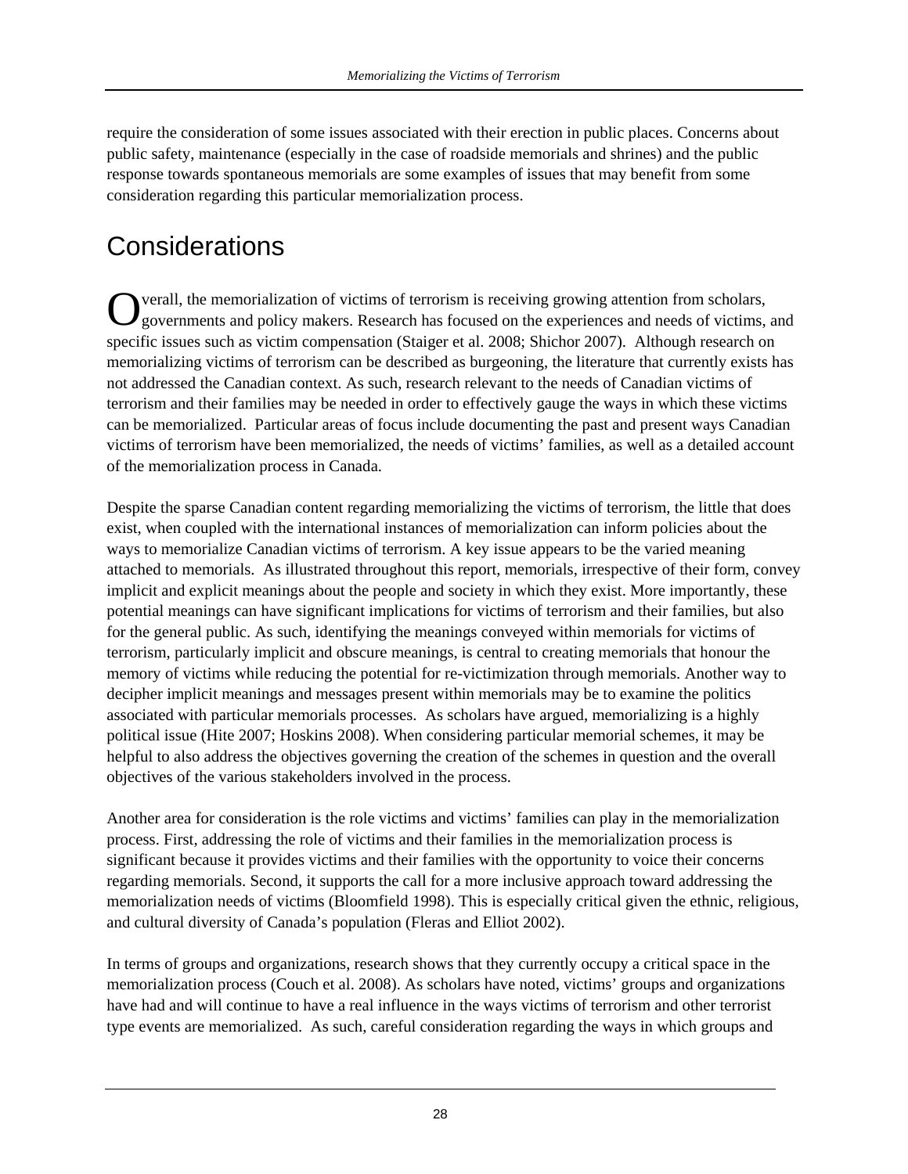require the consideration of some issues associated with their erection in public places. Concerns about public safety, maintenance (especially in the case of roadside memorials and shrines) and the public response towards spontaneous memorials are some examples of issues that may benefit from some consideration regarding this particular memorialization process.

## **Considerations**

verall, the memorialization of victims of terrorism is receiving growing attention from scholars, Overall, the memorialization of victims of terrorism is receiving growing attention from scholars, governments and policy makers. Research has focused on the experiences and needs of victims, and specific issues such as victim compensation (Staiger et al. 2008; Shichor 2007). Although research on memorializing victims of terrorism can be described as burgeoning, the literature that currently exists has not addressed the Canadian context. As such, research relevant to the needs of Canadian victims of terrorism and their families may be needed in order to effectively gauge the ways in which these victims can be memorialized. Particular areas of focus include documenting the past and present ways Canadian victims of terrorism have been memorialized, the needs of victims' families, as well as a detailed account of the memorialization process in Canada.

Despite the sparse Canadian content regarding memorializing the victims of terrorism, the little that does exist, when coupled with the international instances of memorialization can inform policies about the ways to memorialize Canadian victims of terrorism. A key issue appears to be the varied meaning attached to memorials. As illustrated throughout this report, memorials, irrespective of their form, convey implicit and explicit meanings about the people and society in which they exist. More importantly, these potential meanings can have significant implications for victims of terrorism and their families, but also for the general public. As such, identifying the meanings conveyed within memorials for victims of terrorism, particularly implicit and obscure meanings, is central to creating memorials that honour the memory of victims while reducing the potential for re-victimization through memorials. Another way to decipher implicit meanings and messages present within memorials may be to examine the politics associated with particular memorials processes. As scholars have argued, memorializing is a highly political issue (Hite 2007; Hoskins 2008). When considering particular memorial schemes, it may be helpful to also address the objectives governing the creation of the schemes in question and the overall objectives of the various stakeholders involved in the process.

Another area for consideration is the role victims and victims' families can play in the memorialization process. First, addressing the role of victims and their families in the memorialization process is significant because it provides victims and their families with the opportunity to voice their concerns regarding memorials. Second, it supports the call for a more inclusive approach toward addressing the memorialization needs of victims (Bloomfield 1998). This is especially critical given the ethnic, religious, and cultural diversity of Canada's population (Fleras and Elliot 2002).

In terms of groups and organizations, research shows that they currently occupy a critical space in the memorialization process (Couch et al. 2008). As scholars have noted, victims' groups and organizations have had and will continue to have a real influence in the ways victims of terrorism and other terrorist type events are memorialized. As such, careful consideration regarding the ways in which groups and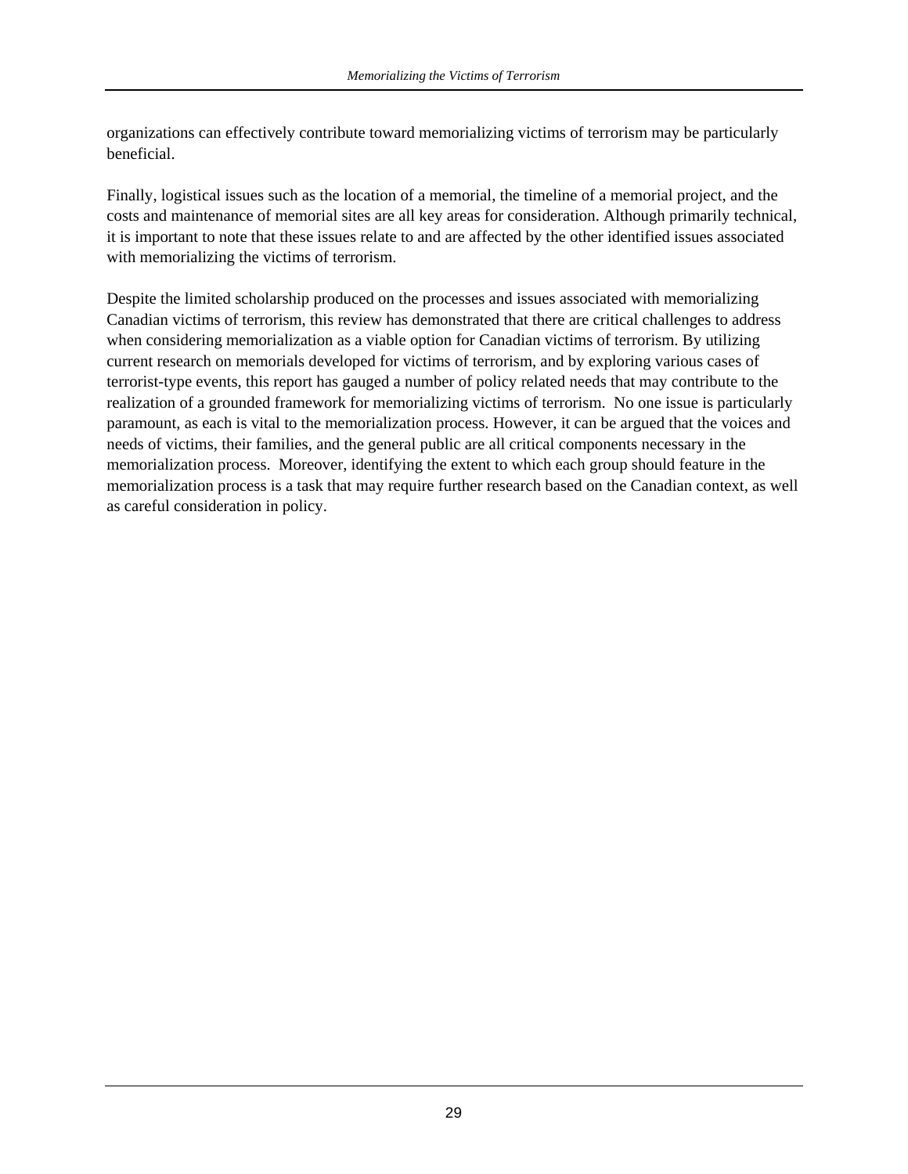organizations can effectively contribute toward memorializing victims of terrorism may be particularly beneficial.

Finally, logistical issues such as the location of a memorial, the timeline of a memorial project, and the costs and maintenance of memorial sites are all key areas for consideration. Although primarily technical, it is important to note that these issues relate to and are affected by the other identified issues associated with memorializing the victims of terrorism.

Despite the limited scholarship produced on the processes and issues associated with memorializing Canadian victims of terrorism, this review has demonstrated that there are critical challenges to address when considering memorialization as a viable option for Canadian victims of terrorism. By utilizing current research on memorials developed for victims of terrorism, and by exploring various cases of terrorist-type events, this report has gauged a number of policy related needs that may contribute to the realization of a grounded framework for memorializing victims of terrorism. No one issue is particularly paramount, as each is vital to the memorialization process. However, it can be argued that the voices and needs of victims, their families, and the general public are all critical components necessary in the memorialization process. Moreover, identifying the extent to which each group should feature in the memorialization process is a task that may require further research based on the Canadian context, as well as careful consideration in policy.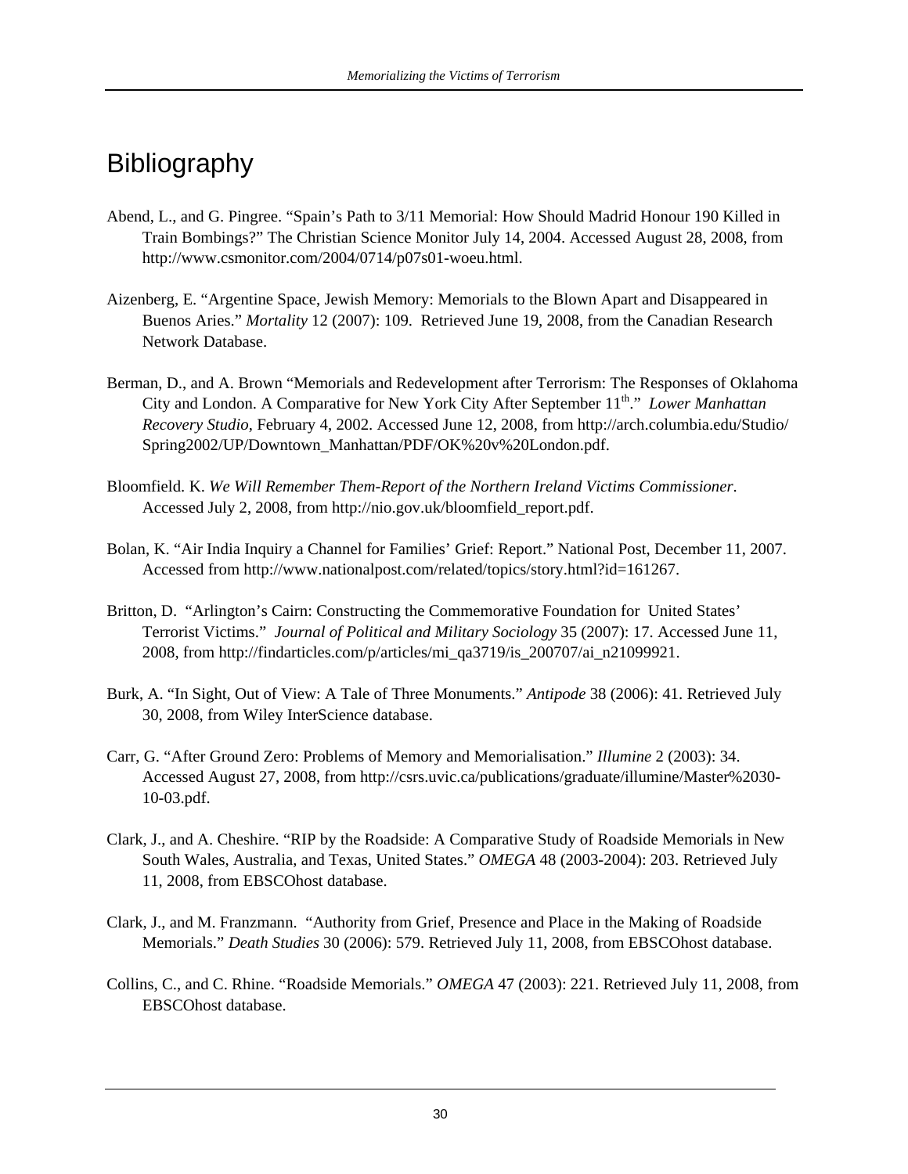## Bibliography

- Abend, L., and G. Pingree. "Spain's Path to 3/11 Memorial: How Should Madrid Honour 190 Killed in Train Bombings?" The Christian Science Monitor July 14, 2004. Accessed August 28, 2008, from http://www.csmonitor.com/2004/0714/p07s01-woeu.html.
- Aizenberg, E. "Argentine Space, Jewish Memory: Memorials to the Blown Apart and Disappeared in Buenos Aries." *Mortality* 12 (2007): 109. Retrieved June 19, 2008, from the Canadian Research Network Database.
- Berman, D., and A. Brown "Memorials and Redevelopment after Terrorism: The Responses of Oklahoma City and London. A Comparative for New York City After September 11<sup>th</sup>." *Lower Manhattan Recovery Studio*, February 4, 2002. Accessed June 12, 2008, from http://arch.columbia.edu/Studio/ Spring2002/UP/Downtown\_Manhattan/PDF/OK%20v%20London.pdf.
- Bloomfield. K. *We Will Remember Them-Report of the Northern Ireland Victims Commissioner*. Accessed July 2, 2008, from http://nio.gov.uk/bloomfield\_report.pdf.
- Bolan, K. "Air India Inquiry a Channel for Families' Grief: Report." National Post, December 11, 2007. Accessed from http://www.nationalpost.com/related/topics/story.html?id=161267.
- Britton, D. "Arlington's Cairn: Constructing the Commemorative Foundation for United States' Terrorist Victims." *Journal of Political and Military Sociology* 35 (2007): 17. Accessed June 11, 2008, from http://findarticles.com/p/articles/mi\_qa3719/is\_200707/ai\_n21099921.
- Burk, A. "In Sight, Out of View: A Tale of Three Monuments." *Antipode* 38 (2006): 41. Retrieved July 30, 2008, from Wiley InterScience database.
- Carr, G. "After Ground Zero: Problems of Memory and Memorialisation." *Illumine* 2 (2003): 34. Accessed August 27, 2008, from http://csrs.uvic.ca/publications/graduate/illumine/Master%2030- 10-03.pdf.
- Clark, J., and A. Cheshire. "RIP by the Roadside: A Comparative Study of Roadside Memorials in New South Wales, Australia, and Texas, United States." *OMEGA* 48 (2003-2004): 203. Retrieved July 11, 2008, from EBSCOhost database.
- Clark, J., and M. Franzmann. "Authority from Grief, Presence and Place in the Making of Roadside Memorials." *Death Studies* 30 (2006): 579. Retrieved July 11, 2008, from EBSCOhost database.
- Collins, C., and C. Rhine. "Roadside Memorials." *OMEGA* 47 (2003): 221. Retrieved July 11, 2008, from EBSCOhost database.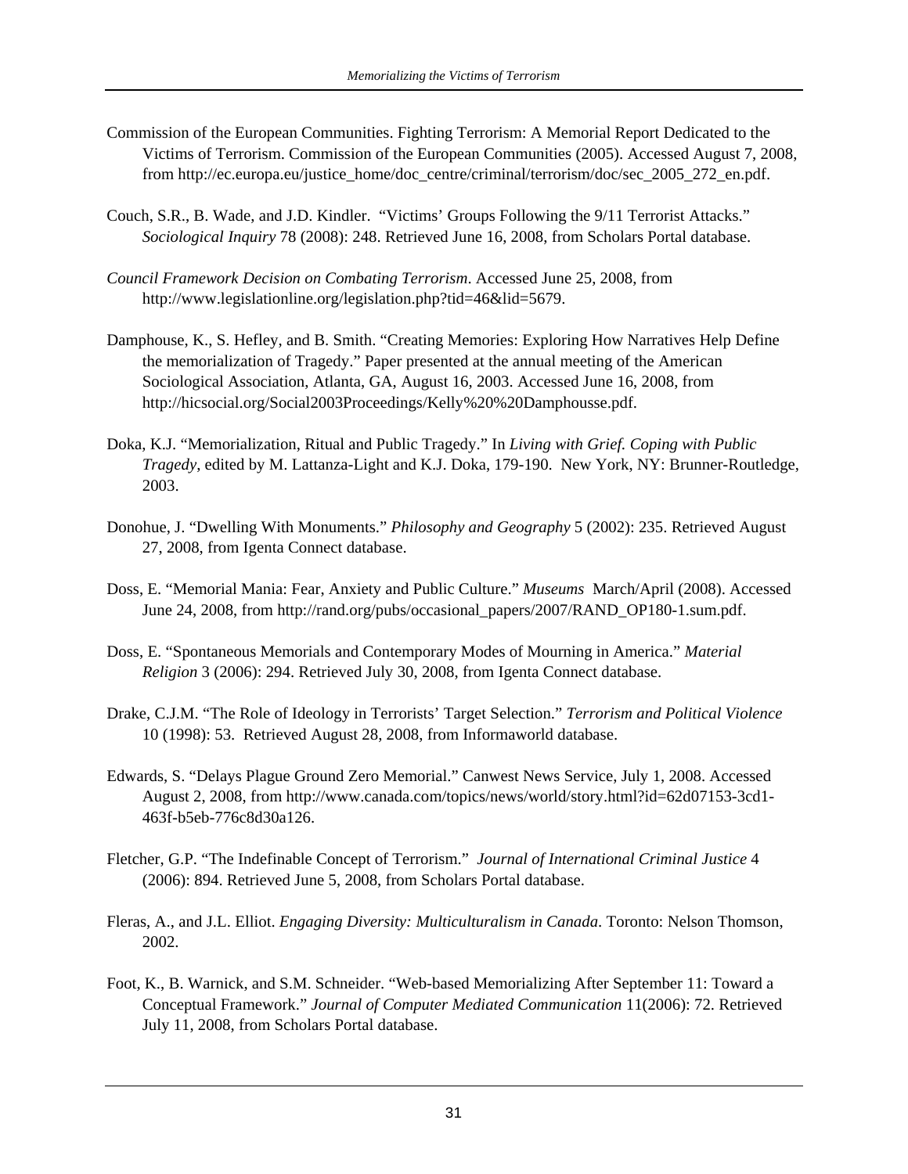- Commission of the European Communities. Fighting Terrorism: A Memorial Report Dedicated to the Victims of Terrorism. Commission of the European Communities (2005). Accessed August 7, 2008, from http://ec.europa.eu/justice\_home/doc\_centre/criminal/terrorism/doc/sec\_2005\_272\_en.pdf.
- Couch, S.R., B. Wade, and J.D. Kindler. "Victims' Groups Following the 9/11 Terrorist Attacks." *Sociological Inquiry* 78 (2008): 248. Retrieved June 16, 2008, from Scholars Portal database.
- *Council Framework Decision on Combating Terrorism*. Accessed June 25, 2008, from http://www.legislationline.org/legislation.php?tid=46&lid=5679.
- Damphouse, K., S. Hefley, and B. Smith. "Creating Memories: Exploring How Narratives Help Define the memorialization of Tragedy." Paper presented at the annual meeting of the American Sociological Association, Atlanta, GA, August 16, 2003. Accessed June 16, 2008, from http://hicsocial.org/Social2003Proceedings/Kelly%20%20Damphousse.pdf.
- Doka, K.J. "Memorialization, Ritual and Public Tragedy." In *Living with Grief. Coping with Public Tragedy*, edited by M. Lattanza-Light and K.J. Doka, 179-190. New York, NY: Brunner-Routledge, 2003.
- Donohue, J. "Dwelling With Monuments." *Philosophy and Geography* 5 (2002): 235. Retrieved August 27, 2008, from Igenta Connect database.
- Doss, E. "Memorial Mania: Fear, Anxiety and Public Culture." *Museums* March/April (2008). Accessed June 24, 2008, from http://rand.org/pubs/occasional\_papers/2007/RAND\_OP180-1.sum.pdf.
- Doss, E. "Spontaneous Memorials and Contemporary Modes of Mourning in America." *Material Religion* 3 (2006): 294. Retrieved July 30, 2008, from Igenta Connect database.
- Drake, C.J.M. "The Role of Ideology in Terrorists' Target Selection." *Terrorism and Political Violence* 10 (1998): 53. Retrieved August 28, 2008, from Informaworld database.
- Edwards, S. "Delays Plague Ground Zero Memorial." Canwest News Service, July 1, 2008. Accessed August 2, 2008, from http://www.canada.com/topics/news/world/story.html?id=62d07153-3cd1- 463f-b5eb-776c8d30a126.
- Fletcher, G.P. "The Indefinable Concept of Terrorism." *Journal of International Criminal Justice* 4 (2006): 894. Retrieved June 5, 2008, from Scholars Portal database.
- Fleras, A., and J.L. Elliot. *Engaging Diversity: Multiculturalism in Canada*. Toronto: Nelson Thomson, 2002.
- Foot, K., B. Warnick, and S.M. Schneider. "Web-based Memorializing After September 11: Toward a Conceptual Framework." *Journal of Computer Mediated Communication* 11(2006): 72. Retrieved July 11, 2008, from Scholars Portal database.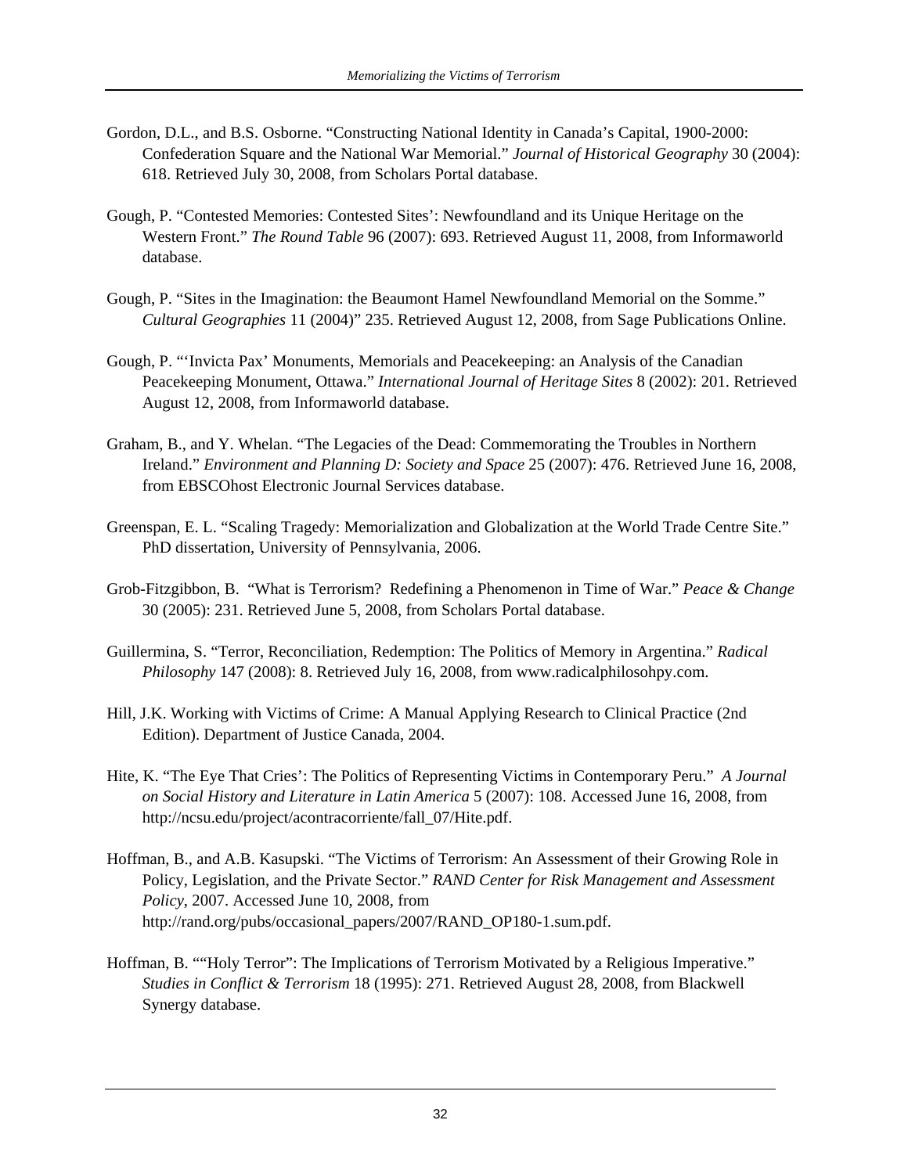- Gordon, D.L., and B.S. Osborne. "Constructing National Identity in Canada's Capital, 1900-2000: Confederation Square and the National War Memorial." *Journal of Historical Geography* 30 (2004): 618. Retrieved July 30, 2008, from Scholars Portal database.
- Gough, P. "Contested Memories: Contested Sites': Newfoundland and its Unique Heritage on the Western Front." *The Round Table* 96 (2007): 693. Retrieved August 11, 2008, from Informaworld database.
- Gough, P. "Sites in the Imagination: the Beaumont Hamel Newfoundland Memorial on the Somme." *Cultural Geographies* 11 (2004)" 235. Retrieved August 12, 2008, from Sage Publications Online.
- Gough, P. "'Invicta Pax' Monuments, Memorials and Peacekeeping: an Analysis of the Canadian Peacekeeping Monument, Ottawa." *International Journal of Heritage Sites* 8 (2002): 201. Retrieved August 12, 2008, from Informaworld database.
- Graham, B., and Y. Whelan. "The Legacies of the Dead: Commemorating the Troubles in Northern Ireland." *Environment and Planning D: Society and Space* 25 (2007): 476. Retrieved June 16, 2008, from EBSCOhost Electronic Journal Services database.
- Greenspan, E. L. "Scaling Tragedy: Memorialization and Globalization at the World Trade Centre Site." PhD dissertation, University of Pennsylvania, 2006.
- Grob-Fitzgibbon, B. "What is Terrorism? Redefining a Phenomenon in Time of War." *Peace & Change* 30 (2005): 231. Retrieved June 5, 2008, from Scholars Portal database.
- Guillermina, S. "Terror, Reconciliation, Redemption: The Politics of Memory in Argentina." *Radical Philosophy* 147 (2008): 8. Retrieved July 16, 2008, from www.radicalphilosohpy.com.
- Hill, J.K. Working with Victims of Crime: A Manual Applying Research to Clinical Practice (2nd Edition). Department of Justice Canada, 2004.
- Hite, K. "The Eye That Cries': The Politics of Representing Victims in Contemporary Peru." *A Journal on Social History and Literature in Latin America* 5 (2007): 108. Accessed June 16, 2008, from http://ncsu.edu/project/acontracorriente/fall\_07/Hite.pdf.
- Hoffman, B., and A.B. Kasupski. "The Victims of Terrorism: An Assessment of their Growing Role in Policy, Legislation, and the Private Sector." *RAND Center for Risk Management and Assessment Policy*, 2007. Accessed June 10, 2008, from http://rand.org/pubs/occasional\_papers/2007/RAND\_OP180-1.sum.pdf.
- Hoffman, B. ""Holy Terror": The Implications of Terrorism Motivated by a Religious Imperative." *Studies in Conflict & Terrorism* 18 (1995): 271. Retrieved August 28, 2008, from Blackwell Synergy database.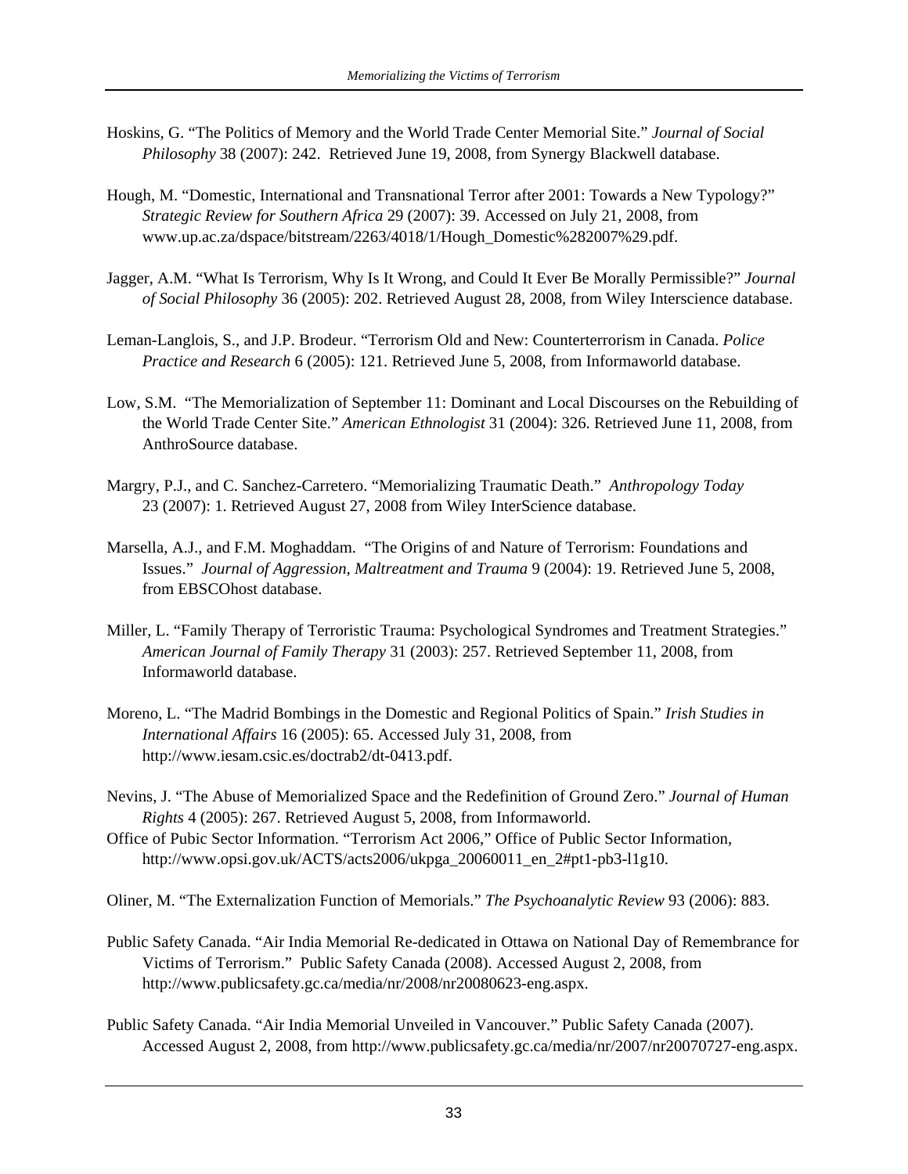- Hoskins, G. "The Politics of Memory and the World Trade Center Memorial Site." *Journal of Social Philosophy* 38 (2007): 242. Retrieved June 19, 2008, from Synergy Blackwell database.
- Hough, M. "Domestic, International and Transnational Terror after 2001: Towards a New Typology?" *Strategic Review for Southern Africa* 29 (2007): 39. Accessed on July 21, 2008, from www.up.ac.za/dspace/bitstream/2263/4018/1/Hough\_Domestic%282007%29.pdf.
- Jagger, A.M. "What Is Terrorism, Why Is It Wrong, and Could It Ever Be Morally Permissible?" *Journal of Social Philosophy* 36 (2005): 202. Retrieved August 28, 2008, from Wiley Interscience database.
- Leman-Langlois, S., and J.P. Brodeur. "Terrorism Old and New: Counterterrorism in Canada. *Police Practice and Research* 6 (2005): 121. Retrieved June 5, 2008, from Informaworld database.
- Low, S.M. "The Memorialization of September 11: Dominant and Local Discourses on the Rebuilding of the World Trade Center Site." *American Ethnologist* 31 (2004): 326. Retrieved June 11, 2008, from AnthroSource database.
- Margry, P.J., and C. Sanchez-Carretero. "Memorializing Traumatic Death." *Anthropology Today* 23 (2007): 1. Retrieved August 27, 2008 from Wiley InterScience database.
- Marsella, A.J., and F.M. Moghaddam. "The Origins of and Nature of Terrorism: Foundations and Issues." *Journal of Aggression, Maltreatment and Trauma* 9 (2004): 19. Retrieved June 5, 2008, from EBSCOhost database.
- Miller, L. "Family Therapy of Terroristic Trauma: Psychological Syndromes and Treatment Strategies." *American Journal of Family Therapy* 31 (2003): 257. Retrieved September 11, 2008, from Informaworld database.
- Moreno, L. "The Madrid Bombings in the Domestic and Regional Politics of Spain." *Irish Studies in International Affairs* 16 (2005): 65. Accessed July 31, 2008, from http://www.iesam.csic.es/doctrab2/dt-0413.pdf.
- Nevins, J. "The Abuse of Memorialized Space and the Redefinition of Ground Zero." *Journal of Human Rights* 4 (2005): 267. Retrieved August 5, 2008, from Informaworld.
- Office of Pubic Sector Information. "Terrorism Act 2006," Office of Public Sector Information, http://www.opsi.gov.uk/ACTS/acts2006/ukpga\_20060011\_en\_2#pt1-pb3-l1g10.

Oliner, M. "The Externalization Function of Memorials." *The Psychoanalytic Review* 93 (2006): 883.

- Public Safety Canada. "Air India Memorial Re-dedicated in Ottawa on National Day of Remembrance for Victims of Terrorism." Public Safety Canada (2008). Accessed August 2, 2008, from http://www.publicsafety.gc.ca/media/nr/2008/nr20080623-eng.aspx.
- Public Safety Canada. "Air India Memorial Unveiled in Vancouver." Public Safety Canada (2007). Accessed August 2, 2008, from http://www.publicsafety.gc.ca/media/nr/2007/nr20070727-eng.aspx.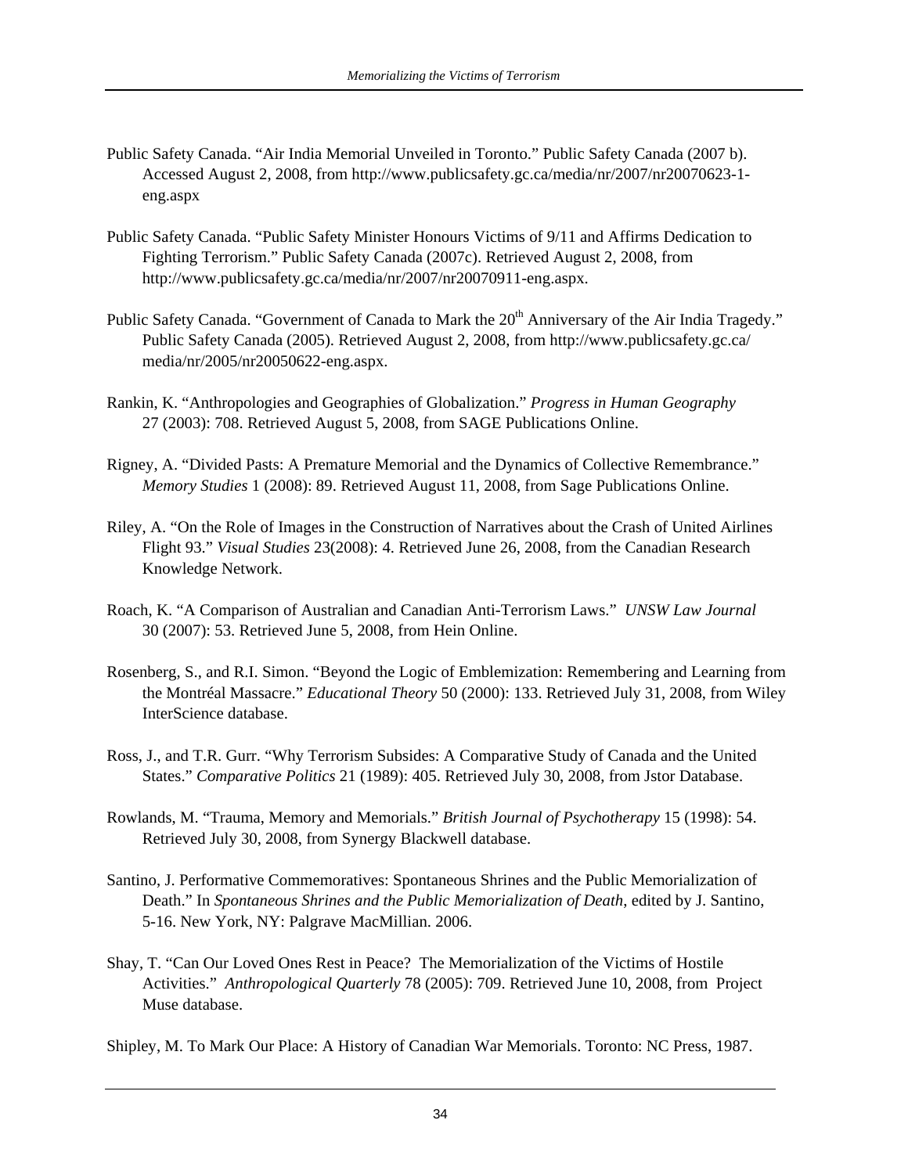- Public Safety Canada. "Air India Memorial Unveiled in Toronto." Public Safety Canada (2007 b). Accessed August 2, 2008, from http://www.publicsafety.gc.ca/media/nr/2007/nr20070623-1 eng.aspx
- Public Safety Canada. "Public Safety Minister Honours Victims of 9/11 and Affirms Dedication to Fighting Terrorism." Public Safety Canada (2007c). Retrieved August 2, 2008, from http://www.publicsafety.gc.ca/media/nr/2007/nr20070911-eng.aspx.
- Public Safety Canada. "Government of Canada to Mark the 20<sup>th</sup> Anniversary of the Air India Tragedy." Public Safety Canada (2005). Retrieved August 2, 2008, from http://www.publicsafety.gc.ca/ media/nr/2005/nr20050622-eng.aspx.
- Rankin, K. "Anthropologies and Geographies of Globalization." *Progress in Human Geography* 27 (2003): 708. Retrieved August 5, 2008, from SAGE Publications Online.
- Rigney, A. "Divided Pasts: A Premature Memorial and the Dynamics of Collective Remembrance." *Memory Studies* 1 (2008): 89. Retrieved August 11, 2008, from Sage Publications Online.
- Riley, A. "On the Role of Images in the Construction of Narratives about the Crash of United Airlines Flight 93." *Visual Studies* 23(2008): 4. Retrieved June 26, 2008, from the Canadian Research Knowledge Network.
- Roach, K. "A Comparison of Australian and Canadian Anti-Terrorism Laws." *UNSW Law Journal* 30 (2007): 53. Retrieved June 5, 2008, from Hein Online.
- Rosenberg, S., and R.I. Simon. "Beyond the Logic of Emblemization: Remembering and Learning from the Montréal Massacre." *Educational Theory* 50 (2000): 133. Retrieved July 31, 2008, from Wiley InterScience database.
- Ross, J., and T.R. Gurr. "Why Terrorism Subsides: A Comparative Study of Canada and the United States." *Comparative Politics* 21 (1989): 405. Retrieved July 30, 2008, from Jstor Database.
- Rowlands, M. "Trauma, Memory and Memorials." *British Journal of Psychotherapy* 15 (1998): 54. Retrieved July 30, 2008, from Synergy Blackwell database.
- Santino, J. Performative Commemoratives: Spontaneous Shrines and the Public Memorialization of Death." In *Spontaneous Shrines and the Public Memorialization of Death*, edited by J. Santino, 5-16. New York, NY: Palgrave MacMillian. 2006.
- Shay, T. "Can Our Loved Ones Rest in Peace? The Memorialization of the Victims of Hostile Activities." *Anthropological Quarterly* 78 (2005): 709. Retrieved June 10, 2008, from Project Muse database.
- Shipley, M. To Mark Our Place: A History of Canadian War Memorials. Toronto: NC Press, 1987.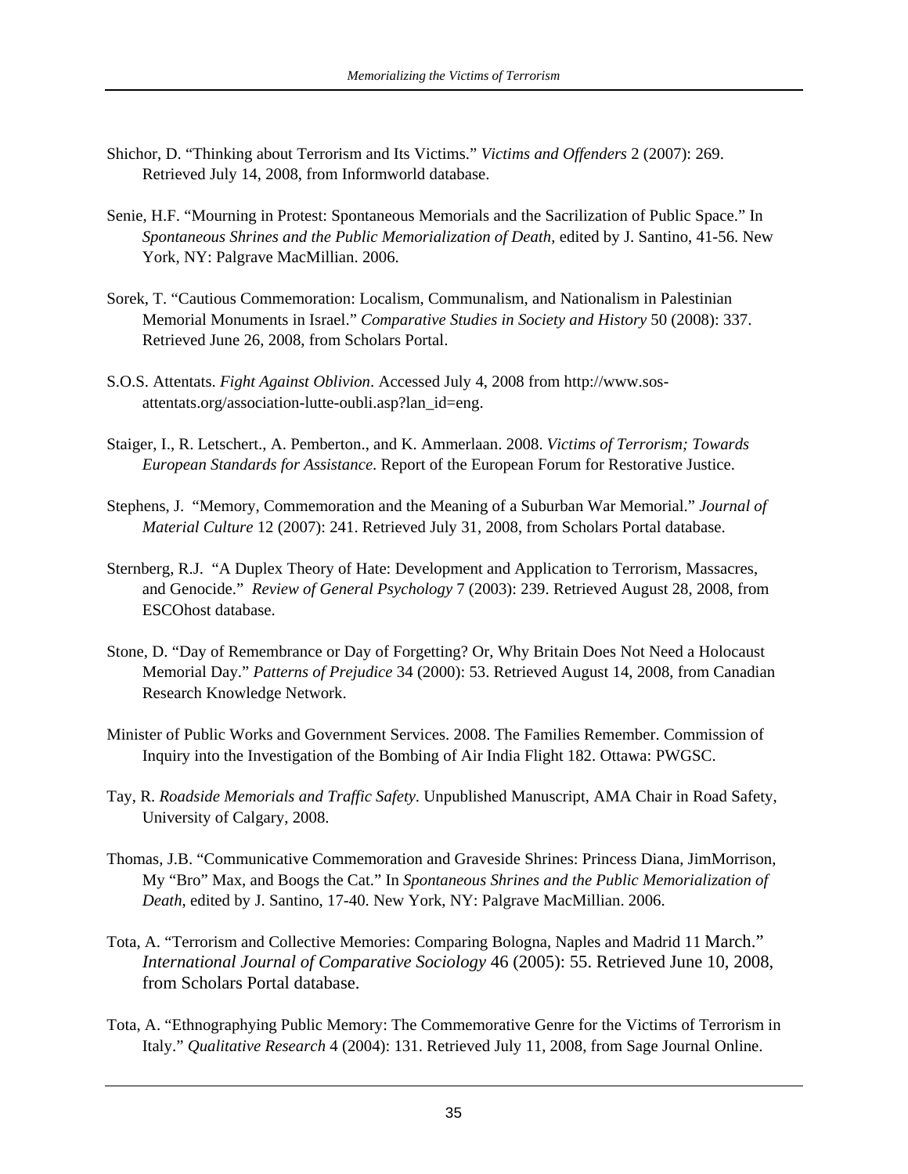- Shichor, D. "Thinking about Terrorism and Its Victims." *Victims and Offenders* 2 (2007): 269. Retrieved July 14, 2008, from Informworld database.
- Senie, H.F. "Mourning in Protest: Spontaneous Memorials and the Sacrilization of Public Space." In *Spontaneous Shrines and the Public Memorialization of Death*, edited by J. Santino, 41-56. New York, NY: Palgrave MacMillian. 2006.
- Sorek, T. "Cautious Commemoration: Localism, Communalism, and Nationalism in Palestinian Memorial Monuments in Israel." *Comparative Studies in Society and History* 50 (2008): 337. Retrieved June 26, 2008, from Scholars Portal.
- S.O.S. Attentats. *Fight Against Oblivion*. Accessed July 4, 2008 from http://www.sosattentats.org/association-lutte-oubli.asp?lan\_id=eng.
- Staiger, I., R. Letschert., A. Pemberton., and K. Ammerlaan. 2008. *Victims of Terrorism; Towards European Standards for Assistance*. Report of the European Forum for Restorative Justice.
- Stephens, J. "Memory, Commemoration and the Meaning of a Suburban War Memorial." *Journal of Material Culture* 12 (2007): 241. Retrieved July 31, 2008, from Scholars Portal database.
- Sternberg, R.J. "A Duplex Theory of Hate: Development and Application to Terrorism, Massacres, and Genocide." *Review of General Psychology* 7 (2003): 239. Retrieved August 28, 2008, from ESCOhost database.
- Stone, D. "Day of Remembrance or Day of Forgetting? Or, Why Britain Does Not Need a Holocaust Memorial Day." *Patterns of Prejudice* 34 (2000): 53. Retrieved August 14, 2008, from Canadian Research Knowledge Network.
- Minister of Public Works and Government Services. 2008. The Families Remember. Commission of Inquiry into the Investigation of the Bombing of Air India Flight 182. Ottawa: PWGSC.
- Tay, R. *Roadside Memorials and Traffic Safety*. Unpublished Manuscript, AMA Chair in Road Safety, University of Calgary, 2008.
- Thomas, J.B. "Communicative Commemoration and Graveside Shrines: Princess Diana, JimMorrison, My "Bro" Max, and Boogs the Cat." In *Spontaneous Shrines and the Public Memorialization of Death*, edited by J. Santino, 17-40. New York, NY: Palgrave MacMillian. 2006.
- Tota, A. "Terrorism and Collective Memories: Comparing Bologna, Naples and Madrid 11 March." *International Journal of Comparative Sociology* 46 (2005): 55. Retrieved June 10, 2008, from Scholars Portal database.
- Tota, A. "Ethnographying Public Memory: The Commemorative Genre for the Victims of Terrorism in Italy." *Qualitative Research* 4 (2004): 131. Retrieved July 11, 2008, from Sage Journal Online.